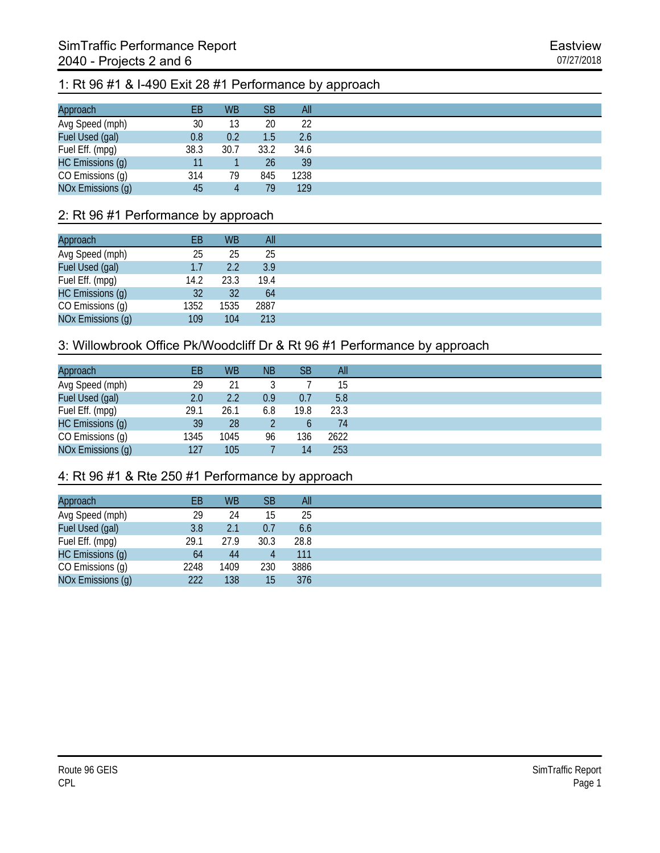#### 1: Rt 96 #1 & I-490 Exit 28 #1 Performance by approach

| Approach          | EВ   | <b>WB</b> | <b>SB</b> | All  |
|-------------------|------|-----------|-----------|------|
| Avg Speed (mph)   | 30   | 13        | 20        | 22   |
| Fuel Used (gal)   | 0.8  | 0.2       | 1.5       | 2.6  |
| Fuel Eff. (mpg)   | 38.3 | 30.7      | 33.2      | 34.6 |
| HC Emissions (g)  | 11   |           | 26        | 39   |
| CO Emissions (g)  | 314  | 79        | 845       | 1238 |
| NOx Emissions (g) | 45   | 4         | 79        | 129  |

#### 2: Rt 96 #1 Performance by approach

| Approach          | EВ   | <b>WB</b> | All  |
|-------------------|------|-----------|------|
| Avg Speed (mph)   | 25   | 25        | 25   |
| Fuel Used (gal)   | 1.7  | 2.2       | 3.9  |
| Fuel Eff. (mpg)   | 14.2 | 23.3      | 19.4 |
| HC Emissions (g)  | 32   | 32        | 64   |
| CO Emissions (g)  | 1352 | 1535      | 2887 |
| NOx Emissions (g) | 109  | 104       | 213  |

#### 3: Willowbrook Office Pk/Woodcliff Dr & Rt 96 #1 Performance by approach

| Approach          | EВ   | <b>WB</b> | <b>NB</b> | <b>SB</b> | All  |
|-------------------|------|-----------|-----------|-----------|------|
| Avg Speed (mph)   | 29   | 21        |           |           | 15   |
| Fuel Used (gal)   | 2.0  | 2.2       | 0.9       | 0.7       | 5.8  |
| Fuel Eff. (mpg)   | 29.1 | 26.1      | 6.8       | 19.8      | 23.3 |
| HC Emissions (g)  | 39   | 28        |           | b         | 74   |
| CO Emissions (g)  | 1345 | 1045      | 96        | 136       | 2622 |
| NOx Emissions (g) | 127  | 105       |           | 14        | 253  |

## 4: Rt 96 #1 & Rte 250 #1 Performance by approach

| Approach          | EВ   | <b>WB</b> | <b>SB</b> | All  |
|-------------------|------|-----------|-----------|------|
| Avg Speed (mph)   | 29   | 24        | 15        | 25   |
| Fuel Used (gal)   | 3.8  | 2.1       | 0.7       | 6.6  |
| Fuel Eff. (mpg)   | 29.1 | 27.9      | 30.3      | 28.8 |
| HC Emissions (g)  | 64   | 44        |           | 111  |
| CO Emissions (g)  | 2248 | 1409      | 230       | 3886 |
| NOx Emissions (g) | 222  | 138       | 15        | 376  |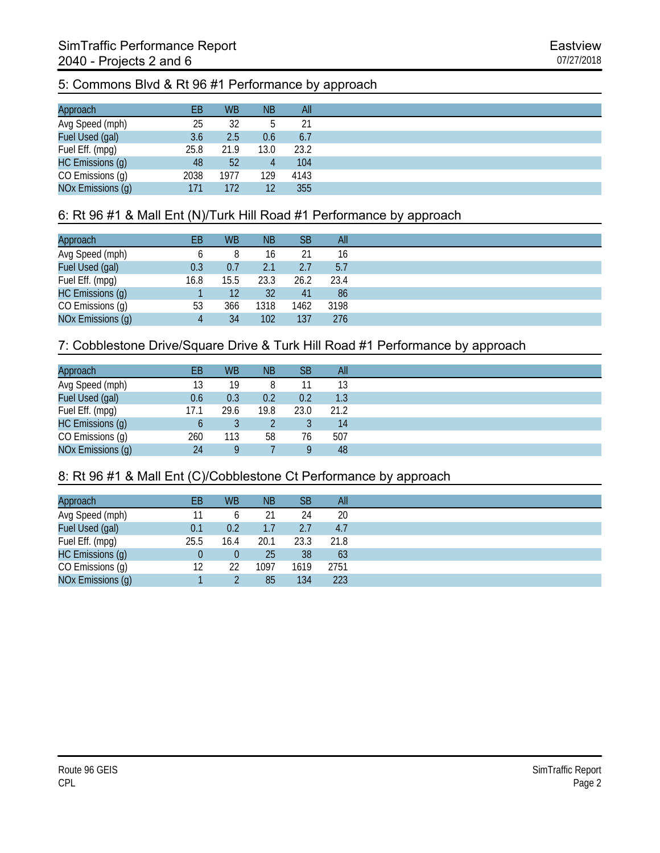# 5: Commons Blvd & Rt 96 #1 Performance by approach

| Approach          | EВ   | <b>WB</b> | <b>NB</b> | All  |
|-------------------|------|-----------|-----------|------|
| Avg Speed (mph)   | 25   | 32        |           | 21   |
| Fuel Used (gal)   | 3.6  | 2.5       | 0.6       | 6.7  |
| Fuel Eff. (mpg)   | 25.8 | 21.9      | 13.0      | 23.2 |
| HC Emissions (g)  | 48   | 52        |           | 104  |
| CO Emissions (g)  | 2038 | 1977      | 129       | 4143 |
| NOx Emissions (g) | 171  | 172       | 12        | 355  |

## 6: Rt 96 #1 & Mall Ent (N)/Turk Hill Road #1 Performance by approach

| Approach          | EВ   | <b>WB</b> | <b>NB</b> | SB   | All  |
|-------------------|------|-----------|-----------|------|------|
| Avg Speed (mph)   |      | 8         | 16        | 21   | 16   |
| Fuel Used (gal)   | 0.3  | 0.7       | 2.1       | 2.7  | 5.7  |
| Fuel Eff. (mpg)   | 16.8 | 15.5      | 23.3      | 26.2 | 23.4 |
| HC Emissions (g)  |      | 12        | 32        | 41   | 86   |
| CO Emissions (g)  | 53   | 366       | 1318      | 1462 | 3198 |
| NOx Emissions (g) |      | 34        | 102       | 137  | 276  |

## 7: Cobblestone Drive/Square Drive & Turk Hill Road #1 Performance by approach

| Approach          | EB   | <b>WB</b> | <b>NB</b> | SВ   | All  |
|-------------------|------|-----------|-----------|------|------|
| Avg Speed (mph)   | 13   | 19        |           |      | 13   |
| Fuel Used (gal)   | 0.6  | 0.3       | 0.2       | 0.2  | 1.3  |
| Fuel Eff. (mpg)   | 17.1 | 29.6      | 19.8      | 23.0 | 21.2 |
| HC Emissions (g)  |      |           |           |      | 14   |
| CO Emissions (g)  | 260  | 113       | 58        | 76   | 507  |
| NOx Emissions (g) | 24   | Q         |           | Q    | 48   |

#### 8: Rt 96 #1 & Mall Ent (C)/Cobblestone Ct Performance by approach

| Approach          | ЕB   | <b>WB</b>    | <b>NB</b> | <b>SB</b> | All  |
|-------------------|------|--------------|-----------|-----------|------|
| Avg Speed (mph)   |      | <sub>0</sub> |           | 24        | 20   |
| Fuel Used (gal)   | 0.1  | 0.2          |           | 2.7       | 4.7  |
| Fuel Eff. (mpg)   | 25.5 | 16.4         | 20.1      | 23.3      | 21.8 |
| HC Emissions (g)  |      | 0            | 25        | 38        | 63   |
| CO Emissions (g)  | 12   | 22           | 1097      | 1619      | 2751 |
| NOx Emissions (g) |      |              | 85        | 134       | 223  |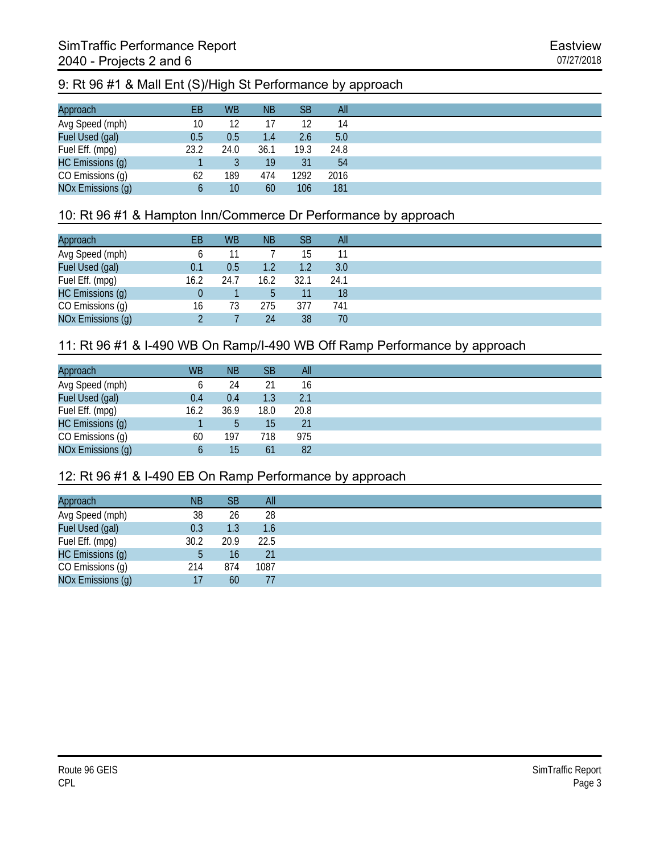## 9: Rt 96 #1 & Mall Ent (S)/High St Performance by approach

| Approach          | ΕB   | <b>WB</b> | <b>NB</b> | SB <sup>1</sup> | All  |
|-------------------|------|-----------|-----------|-----------------|------|
| Avg Speed (mph)   | 10   | 12        |           | 12              | 14   |
| Fuel Used (gal)   | 0.5  | 0.5       | 1.4       | 2.6             | 5.0  |
| Fuel Eff. (mpg)   | 23.2 | 24.0      | 36.1      | 19.3            | 24.8 |
| HC Emissions (g)  |      |           | 19        | 31              | 54   |
| CO Emissions (g)  | 62   | 189       | 474       | 1292            | 2016 |
| NOx Emissions (g) | O    | 10        | 60        | 106             | 181  |

### 10: Rt 96 #1 & Hampton Inn/Commerce Dr Performance by approach

| Approach          | ΕB   | <b>WB</b> | <b>NB</b> | <b>SB</b> | All  |
|-------------------|------|-----------|-----------|-----------|------|
| Avg Speed (mph)   |      |           |           | 15        |      |
| Fuel Used (gal)   | 0.1  | 0.5       |           | 1.2       | 3.0  |
| Fuel Eff. (mpg)   | 16.2 | 24.7      | 16.2      | 32.1      | 24.1 |
| HC Emissions (g)  |      |           |           | 11        | 18   |
| CO Emissions (g)  | 16   | 73        | 275       | 377       | 741  |
| NOx Emissions (g) |      |           | 24        | 38        | 70   |

## 11: Rt 96 #1 & I-490 WB On Ramp/I-490 WB Off Ramp Performance by approach

| Approach          | <b>WB</b> | <b>NB</b> | <b>SB</b> | All  |
|-------------------|-----------|-----------|-----------|------|
| Avg Speed (mph)   |           | 24        | 21        | 16   |
| Fuel Used (gal)   | 0.4       | 0.4       | 1.3       | 2.1  |
| Fuel Eff. (mpg)   | 16.2      | 36.9      | 18.0      | 20.8 |
| HC Emissions (g)  |           | b         | 15        | 21   |
| CO Emissions (g)  | 60        | 197       | 718       | 975  |
| NOx Emissions (g) |           | 15        | 61        | 82   |

#### 12: Rt 96 #1 & I-490 EB On Ramp Performance by approach

| Approach          | <b>NB</b> | SB   | All  |
|-------------------|-----------|------|------|
| Avg Speed (mph)   | 38        | 26   | 28   |
| Fuel Used (gal)   | 0.3       | 1.3  | 1.6  |
| Fuel Eff. (mpg)   | 30.2      | 20.9 | 22.5 |
| HC Emissions (g)  | b         | 16   | 21   |
| CO Emissions (g)  | 214       | 874  | 1087 |
| NOx Emissions (g) | 17        | 60   |      |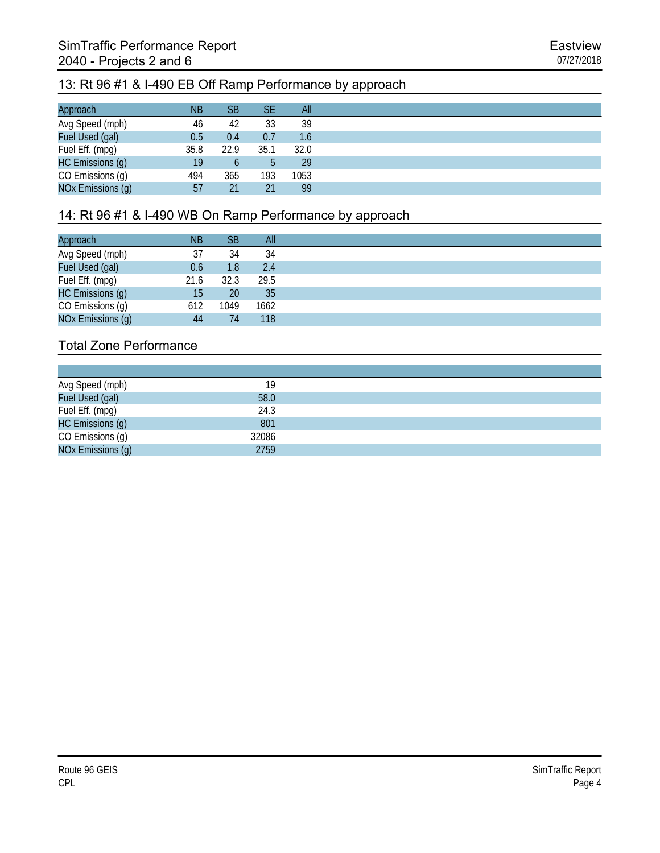### 13: Rt 96 #1 & I-490 EB Off Ramp Performance by approach

| Approach          | <b>NB</b> | SB   | SE   | All  |
|-------------------|-----------|------|------|------|
| Avg Speed (mph)   | 46        | 42   | 33   | 39   |
| Fuel Used (gal)   | 0.5       | 0.4  | 0.7  | 1.6  |
| Fuel Eff. (mpg)   | 35.8      | 22.9 | 35.1 | 32.0 |
| HC Emissions (g)  | 19        |      |      | 29   |
| CO Emissions (g)  | 494       | 365  | 193  | 1053 |
| NOx Emissions (g) | 57        | 21   | 21   | 99   |

# 14: Rt 96 #1 & I-490 WB On Ramp Performance by approach

| Approach          | <b>NB</b> | SB   | All   |
|-------------------|-----------|------|-------|
| Avg Speed (mph)   | 37        | 34   | 34    |
| Fuel Used (gal)   | 0.6       | 1.8  | 2.4   |
| Fuel Eff. (mpg)   | 21.6      | 32.3 | -29.5 |
| HC Emissions (g)  | 15        | 20   | 35    |
| CO Emissions (g)  | 612       | 1049 | 1662  |
| NOx Emissions (g) | 44        | 74   | 118   |

| Avg Speed (mph)   | 19    |
|-------------------|-------|
| Fuel Used (gal)   | 58.0  |
| Fuel Eff. (mpg)   | 24.3  |
| HC Emissions (g)  | 801   |
| CO Emissions (g)  | 32086 |
| NOx Emissions (g) | 2759  |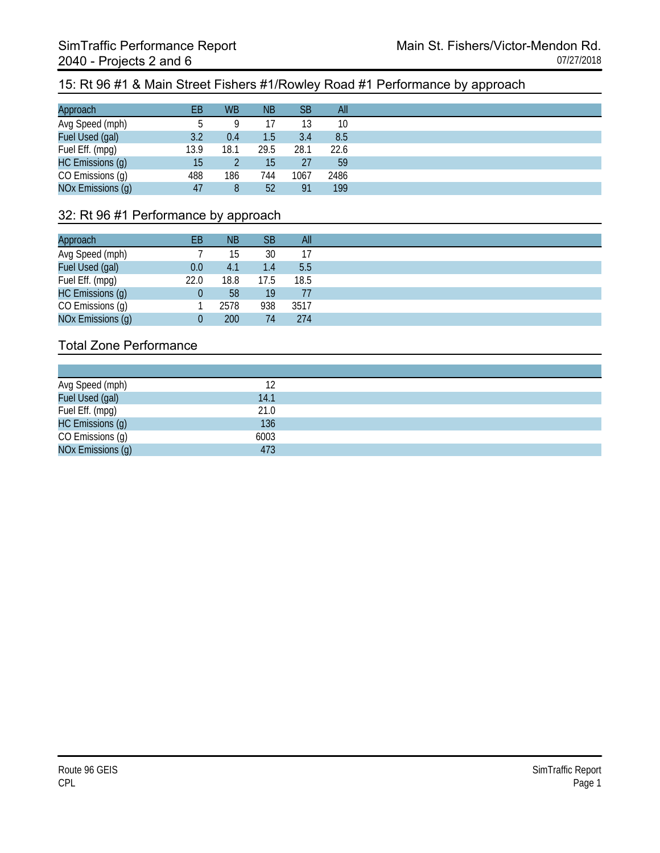#### 15: Rt 96 #1 & Main Street Fishers #1/Rowley Road #1 Performance by approach

| Approach          | EВ   | <b>WB</b> | <b>NB</b>        | <b>SB</b> | All  |
|-------------------|------|-----------|------------------|-----------|------|
| Avg Speed (mph)   |      | Q         |                  | 13        | 10   |
| Fuel Used (gal)   | 3.2  | 0.4       | 1.5 <sub>1</sub> | 3.4       | 8.5  |
| Fuel Eff. (mpg)   | 13.9 | 18.1      | 29.5             | 28.1      | 22.6 |
| HC Emissions (g)  | 15   |           | 15               | 27        | 59   |
| CO Emissions (g)  | 488  | 186       | 744              | 1067      | 2486 |
| NOx Emissions (g) | 47   | 8         | 52               | 91        | 199  |

#### 32: Rt 96 #1 Performance by approach

| Approach          | EВ   | ΝB   | <b>SB</b> | All  |
|-------------------|------|------|-----------|------|
| Avg Speed (mph)   |      | 15   | 30        | 17   |
| Fuel Used (gal)   | 0.0  | 4.1  | 1.4       | 5.5  |
| Fuel Eff. (mpg)   | 22.0 | 18.8 | 17.5      | 18.5 |
| HC Emissions (g)  |      | 58   | 19        | 77   |
| CO Emissions (g)  |      | 2578 | 938       | 3517 |
| NOx Emissions (g) |      | 200  | 74        | 274  |

| Avg Speed (mph)<br>Fuel Used (gal) | 14.1 |
|------------------------------------|------|
| Fuel Eff. (mpg)                    | 21.0 |
| HC Emissions (g)                   | 136  |
| CO Emissions (g)                   | 6003 |
| NOx Emissions (q)                  | 473  |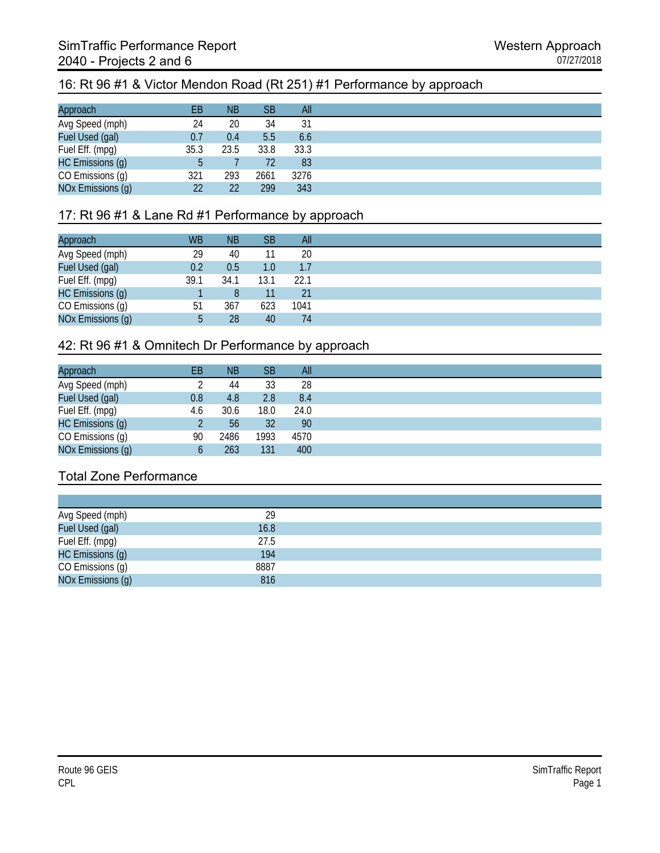## 16: Rt 96 #1 & Victor Mendon Road (Rt 251) #1 Performance by approach

| Approach          | EВ   | <b>NB</b> | <b>SB</b> | All  |
|-------------------|------|-----------|-----------|------|
| Avg Speed (mph)   | 24   | 20        | 34        | 31   |
| Fuel Used (gal)   | 0.7  | 0.4       | 5.5       | 6.6  |
| Fuel Eff. (mpg)   | 35.3 | 23.5      | 33.8      | 33.3 |
| HC Emissions (g)  | 5    |           | 72        | 83   |
| CO Emissions (g)  | 321  | 293       | 2661      | 3276 |
| NOx Emissions (g) | 22   | 22        | 299       | 343  |

## 17: Rt 96 #1 & Lane Rd #1 Performance by approach

| Approach          | <b>WB</b> | <b>NB</b> | <b>SB</b>        | All  |
|-------------------|-----------|-----------|------------------|------|
| Avg Speed (mph)   | 29        | 40        |                  | 20   |
| Fuel Used (gal)   | 0.2       | 0.5       | 1.0 <sub>1</sub> | 1.7  |
| Fuel Eff. (mpg)   | 39.1      | 34.1      | 13.1             | 22.1 |
| HC Emissions (g)  |           |           |                  | 21   |
| CO Emissions (g)  | 51        | 367       | 623              | 1041 |
| NOx Emissions (g) | b.        | 28        | 40               | 74   |

#### 42: Rt 96 #1 & Omnitech Dr Performance by approach

| Approach          | EВ  | <b>NB</b> | <b>SB</b> | All  |
|-------------------|-----|-----------|-----------|------|
| Avg Speed (mph)   |     | 44        | 33        | 28   |
| Fuel Used (gal)   | 0.8 | 4.8       | 2.8       | 8.4  |
| Fuel Eff. (mpg)   | 4.6 | 30.6      | 18.0      | 24.0 |
| HC Emissions (g)  |     | 56        | 32        | 90   |
| CO Emissions (g)  | 90  | 2486      | 1993      | 4570 |
| NOx Emissions (g) |     | 263       | 131       | 400  |

| Avg Speed (mph)   | 29   |  |
|-------------------|------|--|
| Fuel Used (gal)   | 16.8 |  |
| Fuel Eff. (mpg)   | 27.5 |  |
| HC Emissions (g)  | 194  |  |
| CO Emissions (g)  | 8887 |  |
| NOx Emissions (g) | 816  |  |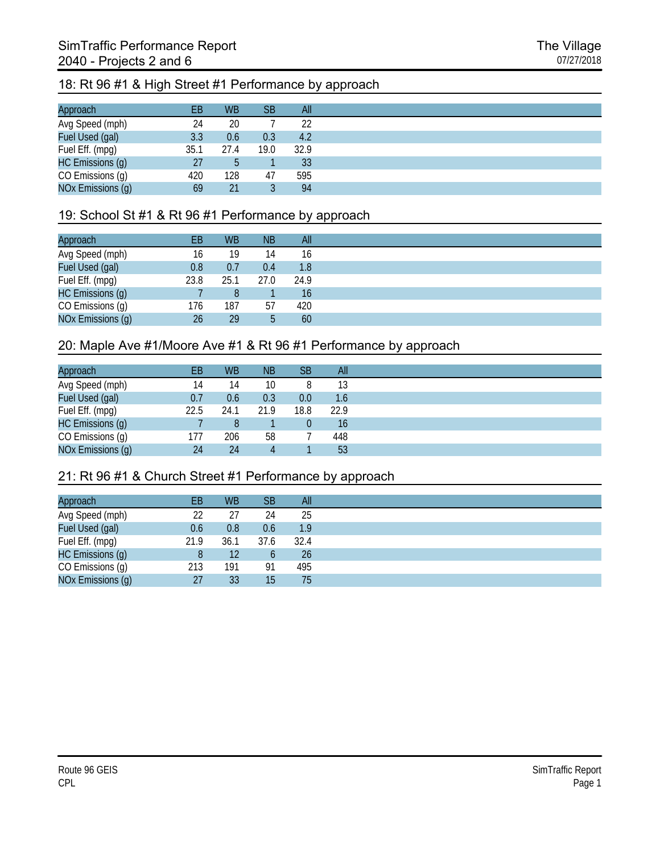# 18: Rt 96 #1 & High Street #1 Performance by approach

| Approach          | EВ   | <b>WB</b> | SВ   | All  |
|-------------------|------|-----------|------|------|
| Avg Speed (mph)   | 24   | 20        |      | 22   |
| Fuel Used (gal)   | 3.3  | 0.6       | 0.3  | 4.2  |
| Fuel Eff. (mpg)   | 35.1 | 27.4      | 19.0 | 32.9 |
| HC Emissions (g)  | 27   | 5         |      | 33   |
| CO Emissions (g)  | 420  | 128       | 47   | 595  |
| NOx Emissions (g) | 69   | 21        |      | 94   |

#### 19: School St #1 & Rt 96 #1 Performance by approach

| Approach          | ЕB   | <b>WB</b> | <b>NB</b> | All  |
|-------------------|------|-----------|-----------|------|
| Avg Speed (mph)   | 16   | 19        | 14        | 16   |
| Fuel Used (gal)   | 0.8  | 0.7       | 0.4       | 1.8  |
| Fuel Eff. (mpg)   | 23.8 | 25.1      | 27.0      | 24.9 |
| HC Emissions (g)  |      | 8         |           | 16   |
| CO Emissions (g)  | 176  | 187       | 57        | 420  |
| NOx Emissions (g) | 26   | 29        | 5         | 60   |

#### 20: Maple Ave #1/Moore Ave #1 & Rt 96 #1 Performance by approach

| Approach          | EB   | <b>WB</b> | <b>NB</b> | SВ             | All  |
|-------------------|------|-----------|-----------|----------------|------|
| Avg Speed (mph)   | 14   | 14        | 10        | 8              | 13   |
| Fuel Used (gal)   | 0.7  | 0.6       | 0.3       | 0.0            | 1.6  |
| Fuel Eff. (mpg)   | 22.5 | 24.1      | 21.9      | 18.8           | 22.9 |
| HC Emissions (g)  |      | 8         |           | $\overline{0}$ | 16   |
| CO Emissions (g)  | 177  | 206       | 58        |                | 448  |
| NOx Emissions (g) | 24   | 24        |           |                | 53   |

#### 21: Rt 96 #1 & Church Street #1 Performance by approach

| Approach          | EВ   | <b>WB</b> | <b>SB</b> | All  |
|-------------------|------|-----------|-----------|------|
| Avg Speed (mph)   | 22   | 27        | 24        | 25   |
| Fuel Used (gal)   | 0.6  | 0.8       | 0.6       | 1.9  |
| Fuel Eff. (mpg)   | 21.9 | 36.1      | 37.6      | 32.4 |
| HC Emissions (g)  | 8    | 12        |           | 26   |
| CO Emissions (g)  | 213  | 191       | 91        | 495  |
| NOx Emissions (g) | 27   | 33        | 15        | 75   |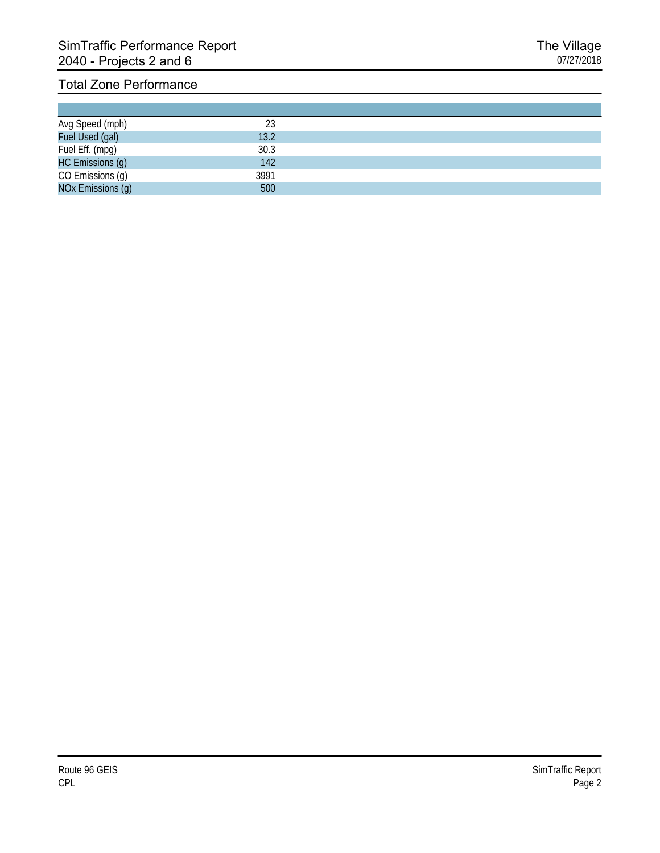| Avg Speed (mph)<br>Fuel Used (gal) | 13.2 |  |
|------------------------------------|------|--|
| Fuel Eff. (mpg)                    | 30.3 |  |
| HC Emissions (g)                   | 142  |  |
| CO Emissions (g)                   | 3991 |  |
| NOx Emissions (g)                  | 500  |  |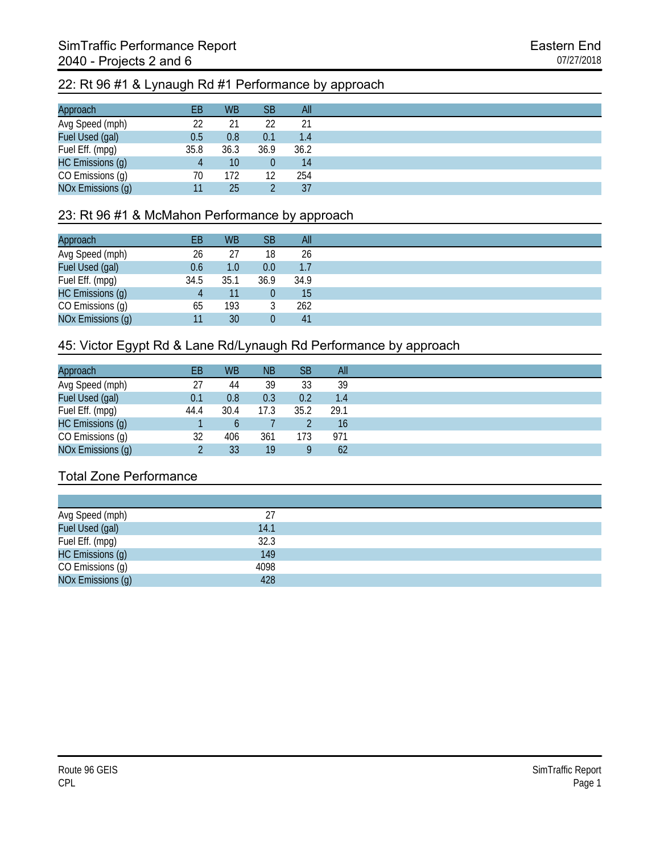#### 22: Rt 96 #1 & Lynaugh Rd #1 Performance by approach

| Approach          | ΕB   | <b>WB</b> | <b>SB</b> | All  |
|-------------------|------|-----------|-----------|------|
| Avg Speed (mph)   | 22   | 21        | 22        | 21   |
| Fuel Used (gal)   | 0.5  | 0.8       | 0.1       | 1.4  |
| Fuel Eff. (mpg)   | 35.8 | 36.3      | 36.9      | 36.2 |
| HC Emissions (g)  |      | 10        |           | 14   |
| CO Emissions (g)  | 70   | 172       | 12        | 254  |
| NOx Emissions (g) |      | 25        |           | 37   |

#### 23: Rt 96 #1 & McMahon Performance by approach

| Approach          | EВ   | <b>WB</b> | <b>SB</b> | All  |
|-------------------|------|-----------|-----------|------|
| Avg Speed (mph)   | 26   | 27        | 18        | 26   |
| Fuel Used (gal)   | 0.6  | 1.0       | 0.0       | 1.7  |
| Fuel Eff. (mpg)   | 34.5 | 35.1      | 36.9      | 34.9 |
| HC Emissions (g)  |      | 11        |           | 15   |
| CO Emissions (g)  | 65   | 193       |           | 262  |
| NOx Emissions (g) |      | 30        |           | 41   |

#### 45: Victor Egypt Rd & Lane Rd/Lynaugh Rd Performance by approach

| Approach          | EВ   | <b>WB</b> | <b>NB</b> | <b>SB</b> | All  |
|-------------------|------|-----------|-----------|-----------|------|
| Avg Speed (mph)   | 27   | 44        | 39        | 33        | 39   |
| Fuel Used (gal)   | 0.1  | 0.8       | 0.3       | 0.2       | 1.4  |
| Fuel Eff. (mpg)   | 44.4 | 30.4      | 17.3      | 35.2      | 29.1 |
| HC Emissions (g)  |      |           |           |           | 16   |
| CO Emissions (g)  | 32   | 406       | 361       | 173       | 971  |
| NOx Emissions (g) |      | 33        | 19        | Q         | 62   |

| Avg Speed (mph)   |      |
|-------------------|------|
| Fuel Used (gal)   | 14.1 |
| Fuel Eff. (mpg)   | 32.3 |
| HC Emissions (g)  | 149  |
| CO Emissions (g)  | 4098 |
| NOx Emissions (q) | 428  |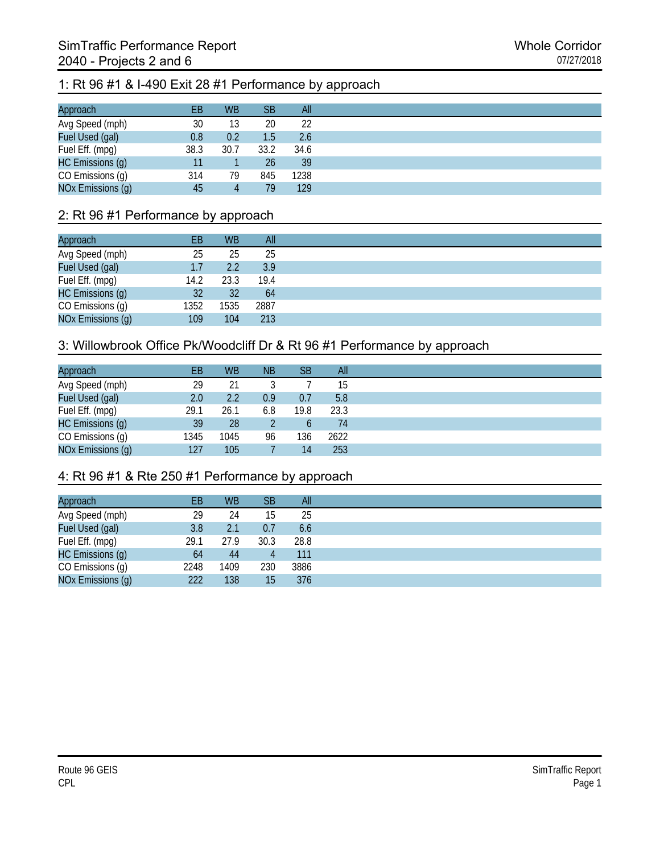# 1: Rt 96 #1 & I-490 Exit 28 #1 Performance by approach

| Approach          | EВ   | <b>WB</b> | <b>SB</b>     | All  |
|-------------------|------|-----------|---------------|------|
| Avg Speed (mph)   | 30   | 13        | 20            | 22   |
| Fuel Used (gal)   | 0.8  | 0.2       | $1.5^{\circ}$ | 2.6  |
| Fuel Eff. (mpg)   | 38.3 | 30.7      | 33.2          | 34.6 |
| HC Emissions (g)  |      |           | 26            | 39   |
| CO Emissions (g)  | 314  | 79        | 845           | 1238 |
| NOx Emissions (g) | 45   | 4         | 79            | 129  |

### 2: Rt 96 #1 Performance by approach

| Approach          | EВ   | <b>WB</b> | All  |
|-------------------|------|-----------|------|
| Avg Speed (mph)   | 25   | 25        | 25   |
| Fuel Used (gal)   | 1.7  | 2.2       | 3.9  |
| Fuel Eff. (mpg)   | 14.2 | 23.3      | 19.4 |
| HC Emissions (g)  | 32   | 32        | 64   |
| CO Emissions (g)  | 1352 | 1535      | 2887 |
| NOx Emissions (g) | 109  | 104       | 213  |

#### 3: Willowbrook Office Pk/Woodcliff Dr & Rt 96 #1 Performance by approach

| Approach          | EВ   | <b>WB</b> | <b>NB</b> | <b>SB</b> | All  |
|-------------------|------|-----------|-----------|-----------|------|
| Avg Speed (mph)   | 29   | 21        |           |           | 15   |
| Fuel Used (gal)   | 2.0  | 2.2       | 0.9       | 0.7       | 5.8  |
| Fuel Eff. (mpg)   | 29.1 | 26.1      | 6.8       | 19.8      | 23.3 |
| HC Emissions (g)  | 39   | 28        |           | b         | 74   |
| CO Emissions (g)  | 1345 | 1045      | 96        | 136       | 2622 |
| NOx Emissions (g) | 127  | 105       |           | 14        | 253  |

## 4: Rt 96 #1 & Rte 250 #1 Performance by approach

| EB   | <b>WB</b> | <b>SB</b> | All  |
|------|-----------|-----------|------|
| 29   | 24        | 15        | 25   |
| 3.8  | 2.1       | 0.7       | 6.6  |
| 29.1 | 27.9      | 30.3      | 28.8 |
| 64   | 44        | 4         | 111  |
| 2248 | 1409      | 230       | 3886 |
| 222  | 138       | 15        | 376  |
|      |           |           |      |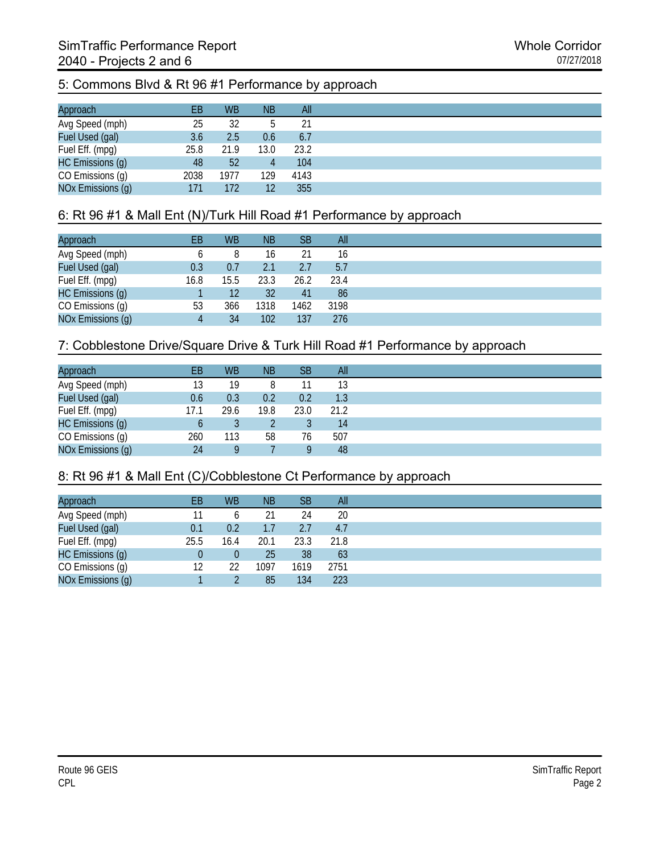# 5: Commons Blvd & Rt 96 #1 Performance by approach

| Approach          | EВ   | <b>WB</b> | <b>NB</b>       | All  |
|-------------------|------|-----------|-----------------|------|
| Avg Speed (mph)   | 25   | 32        |                 | 21   |
| Fuel Used (gal)   | 3.6  | 2.5       | 0.6             | 6.7  |
| Fuel Eff. (mpg)   | 25.8 | 21.9      | 13.0            | 23.2 |
| HC Emissions (g)  | 48   | 52        | 4               | 104  |
| CO Emissions (g)  | 2038 | 1977      | 129             | 4143 |
| NOx Emissions (g) | 171  | 172       | 12 <sup>°</sup> | 355  |

## 6: Rt 96 #1 & Mall Ent (N)/Turk Hill Road #1 Performance by approach

| Approach          | EВ   | <b>WB</b> | <b>NB</b> | SB   | All  |
|-------------------|------|-----------|-----------|------|------|
| Avg Speed (mph)   |      | 8         | 16        | 21   | 16   |
| Fuel Used (gal)   | 0.3  | 0.7       | 2.1       | 2.7  | 5.7  |
| Fuel Eff. (mpg)   | 16.8 | 15.5      | 23.3      | 26.2 | 23.4 |
| HC Emissions (g)  |      | 12        | 32        | 41   | 86   |
| CO Emissions (g)  | 53   | 366       | 1318      | 1462 | 3198 |
| NOx Emissions (g) |      | 34        | 102       | 137  | 276  |

## 7: Cobblestone Drive/Square Drive & Turk Hill Road #1 Performance by approach

| Approach          | EB   | <b>WB</b> | <b>NB</b> | SВ   | All  |
|-------------------|------|-----------|-----------|------|------|
| Avg Speed (mph)   | 13   | 19        |           |      | 13   |
| Fuel Used (gal)   | 0.6  | 0.3       | 0.2       | 0.2  | 1.3  |
| Fuel Eff. (mpg)   | 17.1 | 29.6      | 19.8      | 23.0 | 21.2 |
| HC Emissions (g)  | b    |           |           |      | 14   |
| CO Emissions (g)  | 260  | 113       | 58        | 76   | 507  |
| NOx Emissions (g) | 24   | Q         |           | 9    | 48   |

#### 8: Rt 96 #1 & Mall Ent (C)/Cobblestone Ct Performance by approach

| Approach          | ЕB   | <b>WB</b>    | <b>NB</b> | <b>SB</b> | All  |
|-------------------|------|--------------|-----------|-----------|------|
| Avg Speed (mph)   |      | <sub>0</sub> |           | 24        | 20   |
| Fuel Used (gal)   | 0.1  | 0.2          |           | 2.7       | 4.7  |
| Fuel Eff. (mpg)   | 25.5 | 16.4         | 20.1      | 23.3      | 21.8 |
| HC Emissions (g)  |      | 0            | 25        | 38        | 63   |
| CO Emissions (g)  | 12   | 22           | 1097      | 1619      | 2751 |
| NOx Emissions (g) |      |              | 85        | 134       | 223  |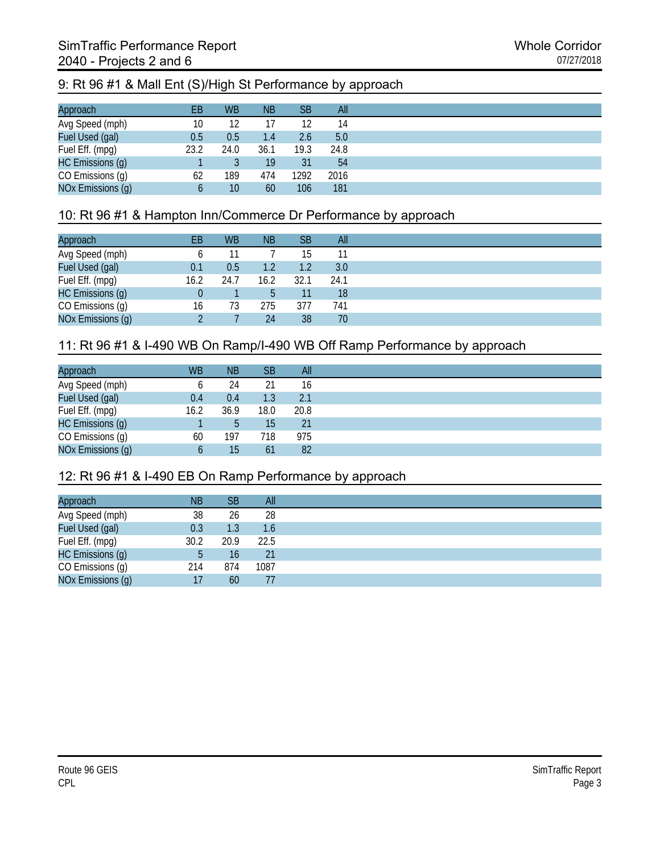## 9: Rt 96 #1 & Mall Ent (S)/High St Performance by approach

| Approach          | EВ   | <b>WB</b> | <b>NB</b> | <b>SB</b> | All  |
|-------------------|------|-----------|-----------|-----------|------|
| Avg Speed (mph)   | 10   | 12        |           | 12        | 14   |
| Fuel Used (gal)   | 0.5  | 0.5       | 1.4       | 2.6       | 5.0  |
| Fuel Eff. (mpg)   | 23.2 | 24.0      | 36.1      | 19.3      | 24.8 |
| HC Emissions (g)  |      |           | 19        | 31        | 54   |
| CO Emissions (g)  | 62   | 189       | 474       | 1292      | 2016 |
| NOx Emissions (g) |      | 10        | 60        | 106       | 181  |

### 10: Rt 96 #1 & Hampton Inn/Commerce Dr Performance by approach

| Approach          | EВ   | <b>WB</b> | <b>NB</b>        | <b>SB</b> | All             |
|-------------------|------|-----------|------------------|-----------|-----------------|
| Avg Speed (mph)   |      |           |                  | 15        |                 |
| Fuel Used (gal)   | 0.1  | 0.5       | 1.2 <sub>2</sub> | 1.2       | 3.0             |
| Fuel Eff. (mpg)   | 16.2 | 24.7      | 16.2             | 32.1      | 24.1            |
| HC Emissions (g)  |      |           |                  | 11        | 18 <sup>°</sup> |
| CO Emissions (g)  | 16   | 73        | 275              | 377       | 741             |
| NOx Emissions (g) |      |           | 24               | 38        | 70              |

## 11: Rt 96 #1 & I-490 WB On Ramp/I-490 WB Off Ramp Performance by approach

| Approach          | <b>WB</b> | <b>NB</b> | <b>SB</b> | All  |
|-------------------|-----------|-----------|-----------|------|
| Avg Speed (mph)   |           | 24        | 21        | 16   |
| Fuel Used (gal)   | 0.4       | 0.4       | 1.3       | 2.1  |
| Fuel Eff. (mpg)   | 16.2      | 36.9      | 18.0      | 20.8 |
| HC Emissions (g)  |           | b         | 15        | 21   |
| CO Emissions (g)  | 60        | 197       | 718       | 975  |
| NOx Emissions (g) |           | 15        | 61        | 82   |

#### 12: Rt 96 #1 & I-490 EB On Ramp Performance by approach

| Approach          | <b>NB</b> | SB.  | All   |
|-------------------|-----------|------|-------|
| Avg Speed (mph)   | 38        | 26   | 28    |
| Fuel Used (gal)   | 0.3       | 1.3  | 1.6   |
| Fuel Eff. (mpg)   | 30.2      | 20.9 | -22.5 |
| HC Emissions (g)  | b         | 16   | 21    |
| CO Emissions (g)  | 214       | 874  | 1087  |
| NOx Emissions (g) | 17        | 60   |       |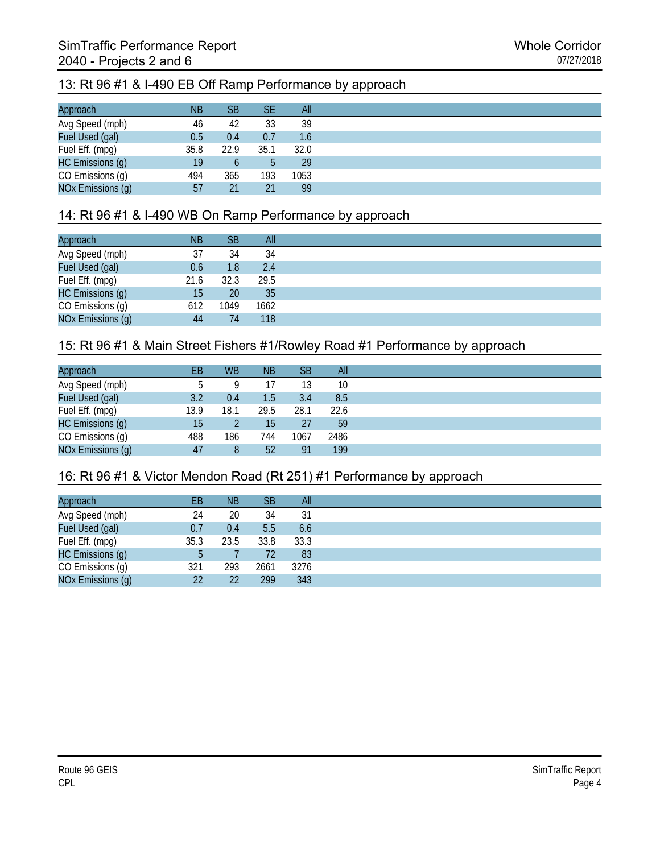# 13: Rt 96 #1 & I-490 EB Off Ramp Performance by approach

| Approach          | <b>NB</b> | SB   | SE   | All  |
|-------------------|-----------|------|------|------|
| Avg Speed (mph)   | 46        | 42   | 33   | 39   |
| Fuel Used (gal)   | 0.5       | 0.4  | 0.7  | 1.6  |
| Fuel Eff. (mpg)   | 35.8      | 22.9 | 35.1 | 32.0 |
| HC Emissions (g)  | 19        |      |      | 29   |
| CO Emissions (g)  | 494       | 365  | 193  | 1053 |
| NOx Emissions (g) | 57        | 21   | 21   | 99   |

#### 14: Rt 96 #1 & I-490 WB On Ramp Performance by approach

| Approach          | <b>NB</b> | <b>SB</b> | All  |
|-------------------|-----------|-----------|------|
| Avg Speed (mph)   | 37        | 34        | 34   |
| Fuel Used (gal)   | 0.6       | 1.8       | 2.4  |
| Fuel Eff. (mpg)   | 21.6      | 32.3      | 29.5 |
| HC Emissions (g)  | 15        | 20        | 35   |
| CO Emissions (g)  | 612       | 1049      | 1662 |
| NOx Emissions (g) | 44        | 74        | 118  |

#### 15: Rt 96 #1 & Main Street Fishers #1/Rowley Road #1 Performance by approach

| Approach          | EB   | <b>WB</b> | <b>NB</b> | SВ   | All  |
|-------------------|------|-----------|-----------|------|------|
| Avg Speed (mph)   |      |           |           | 13   | 10   |
| Fuel Used (gal)   | 3.2  | 0.4       | 1.5       | 3.4  | 8.5  |
| Fuel Eff. (mpg)   | 13.9 | 18.1      | 29.5      | 28.1 | 22.6 |
| HC Emissions (g)  | 15   |           | 15        | 27   | 59   |
| CO Emissions (g)  | 488  | 186       | 744       | 1067 | 2486 |
| NOx Emissions (g) | 47   | 8         | 52        | 91   | 199  |

## 16: Rt 96 #1 & Victor Mendon Road (Rt 251) #1 Performance by approach

| EB   | <b>NB</b> | SΒ   | All  |
|------|-----------|------|------|
| 24   | 20        | 34   | 31   |
| 0.7  | 0.4       | 5.5  | 6.6  |
| 35.3 | 23.5      | 33.8 | 33.3 |
| b    |           | 72   | 83   |
| 321  | 293       | 2661 | 3276 |
| 22   | 22        | 299  | 343  |
|      |           |      |      |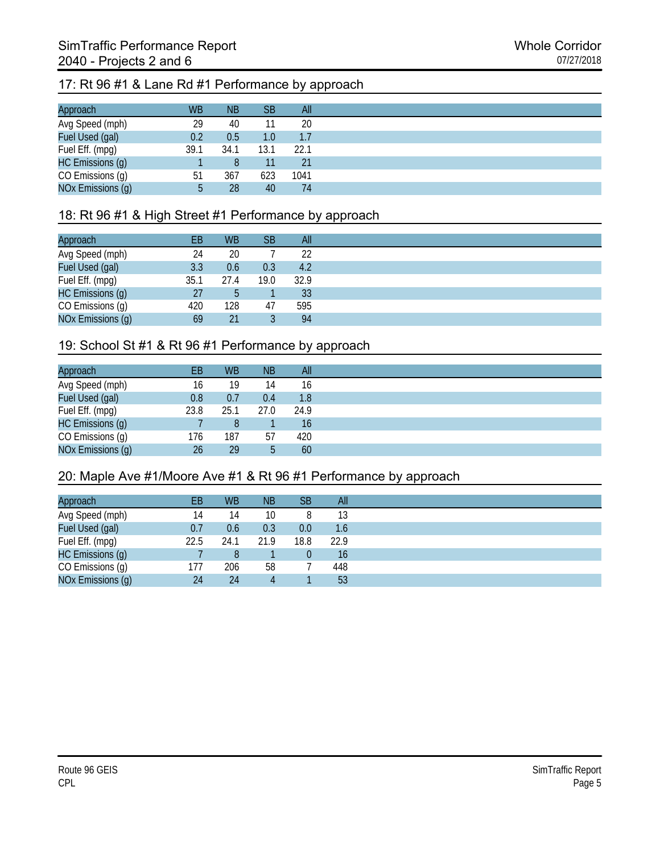# 17: Rt 96 #1 & Lane Rd #1 Performance by approach

| Approach          | <b>WB</b> | <b>NB</b> | SВ   | All  |
|-------------------|-----------|-----------|------|------|
| Avg Speed (mph)   | 29        | 40        | 11   | 20   |
| Fuel Used (gal)   | 0.2       | 0.5       | 1.0  | 1.7  |
| Fuel Eff. (mpg)   | 39.1      | 34.1      | 13.1 | 22.1 |
| HC Emissions (g)  |           |           |      | 21   |
| CO Emissions (g)  | 51        | 367       | 623  | 1041 |
| NOx Emissions (g) | b         | 28        | 40   | 74   |

### 18: Rt 96 #1 & High Street #1 Performance by approach

| Approach          | EВ   | <b>WB</b> | <b>SB</b> | All  |
|-------------------|------|-----------|-----------|------|
| Avg Speed (mph)   | 24   | 20        |           | 22   |
| Fuel Used (gal)   | 3.3  | 0.6       | 0.3       | 4.2  |
| Fuel Eff. (mpg)   | 35.1 | 27.4      | 19.0      | 32.9 |
| HC Emissions (g)  | 27   | 5         |           | 33   |
| CO Emissions (g)  | 420  | 128       | 47        | 595  |
| NOx Emissions (g) | 69   | 21        |           | 94   |

#### 19: School St #1 & Rt 96 #1 Performance by approach

| Approach          | EB/  | <b>WB</b> | <b>NB</b> | All  |
|-------------------|------|-----------|-----------|------|
| Avg Speed (mph)   | 16   | 19        | 14        | 16   |
| Fuel Used (gal)   | 0.8  | 0.7       | 0.4       | 1.8  |
| Fuel Eff. (mpg)   | 23.8 | 25.1      | 27.0      | 24.9 |
| HC Emissions (g)  |      | 8         |           | 16   |
| CO Emissions (g)  | 176  | 187       | 57        | 420  |
| NOx Emissions (g) | 26   | 29        | 5         | 60   |

#### 20: Maple Ave #1/Moore Ave #1 & Rt 96 #1 Performance by approach

| Approach          | ЕB   | <b>WB</b> | <b>NB</b> | <b>SB</b>      | All  |
|-------------------|------|-----------|-----------|----------------|------|
| Avg Speed (mph)   | 14   | 14        | 10        | 8              | 13   |
| Fuel Used (gal)   | 0.7  | 0.6       | 0.3       | 0.0            | 1.6  |
| Fuel Eff. (mpg)   | 22.5 | 24.1      | 21.9      | 18.8           | 22.9 |
| HC Emissions (g)  |      | 8         |           | $\overline{0}$ | 16   |
| CO Emissions (g)  | 177  | 206       | 58        |                | 448  |
| NOx Emissions (g) | 24   | 24        |           |                | 53   |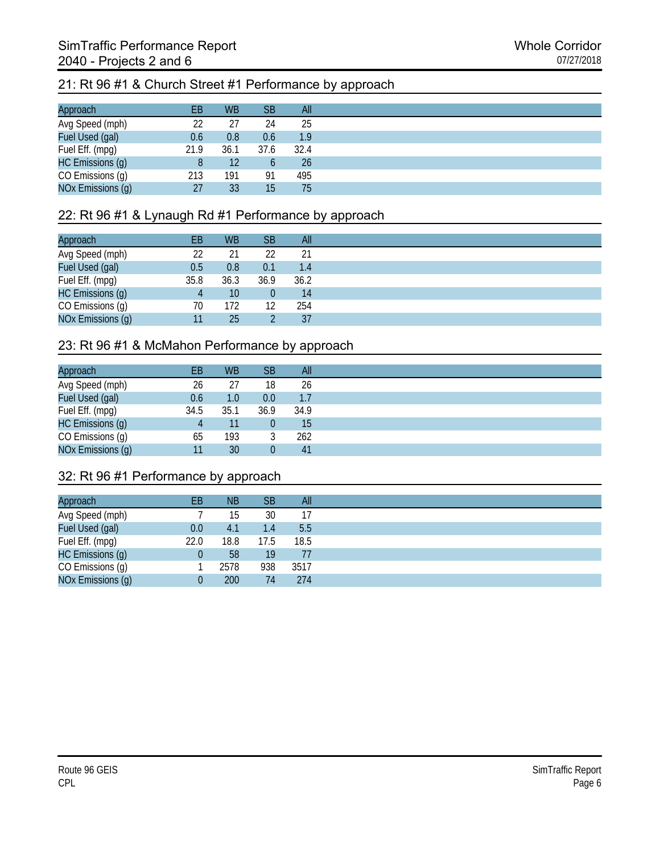#### 21: Rt 96 #1 & Church Street #1 Performance by approach

| Approach          | EВ   | <b>WB</b> | SB   | All              |
|-------------------|------|-----------|------|------------------|
| Avg Speed (mph)   | 22   | 27        | 24   | 25               |
| Fuel Used (gal)   | 0.6  | 0.8       | 0.6  | 1.9 <sup>°</sup> |
| Fuel Eff. (mpg)   | 21.9 | 36.1      | 37.6 | 32.4             |
| HC Emissions (g)  | 8    | 12        |      | 26               |
| CO Emissions (g)  | 213  | 191       | 91   | 495              |
| NOx Emissions (g) | 27   | 33        | 15   | 75               |

#### 22: Rt 96 #1 & Lynaugh Rd #1 Performance by approach

| Approach          | EВ   | <b>WB</b> | <b>SB</b> | All  |
|-------------------|------|-----------|-----------|------|
| Avg Speed (mph)   | 22   | 21        | 22        | 21   |
| Fuel Used (gal)   | 0.5  | 0.8       | 0.1       | 1.4  |
| Fuel Eff. (mpg)   | 35.8 | 36.3      | 36.9      | 36.2 |
| HC Emissions (g)  |      | 10        |           | 14   |
| CO Emissions (g)  | 70   | 172       | 12        | 254  |
| NOx Emissions (g) |      | 25        |           | 37   |

#### 23: Rt 96 #1 & McMahon Performance by approach

| Approach          | EВ   | <b>WB</b> | <b>SB</b> | All  |
|-------------------|------|-----------|-----------|------|
| Avg Speed (mph)   | 26   | 27        | 18        | 26   |
| Fuel Used (gal)   | 0.6  | 1.0       | $0.0\,$   | 1.7  |
| Fuel Eff. (mpg)   | 34.5 | 35.1      | 36.9      | 34.9 |
| HC Emissions (g)  |      | 11        |           | 15   |
| CO Emissions (g)  | 65   | 193       |           | 262  |
| NOx Emissions (g) |      | 30        |           | 41   |

#### 32: Rt 96 #1 Performance by approach

| Approach          | EВ   | ΝB   | <b>SB</b> | All  |
|-------------------|------|------|-----------|------|
| Avg Speed (mph)   |      | 15   | 30        | 17   |
| Fuel Used (gal)   | 0.0  | 4.1  | 1.4       | 5.5  |
| Fuel Eff. (mpg)   | 22.0 | 18.8 | 17.5      | 18.5 |
| HC Emissions (g)  |      | 58   | 19        | 77   |
| CO Emissions (g)  |      | 2578 | 938       | 3517 |
| NOx Emissions (g) |      | 200  | 74        | 274  |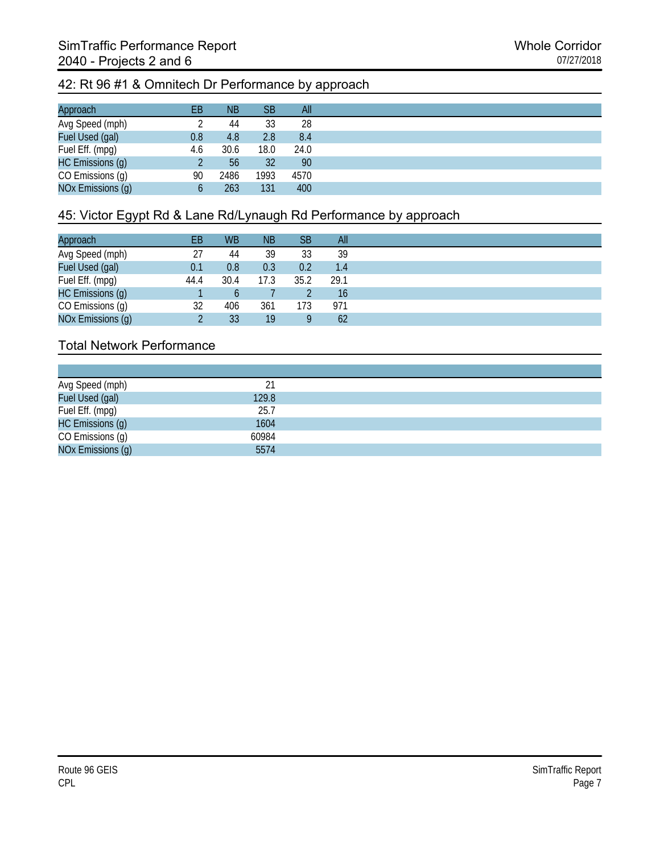#### 42: Rt 96 #1 & Omnitech Dr Performance by approach

| Approach          | EВ  | <b>NB</b> | <b>SB</b> | All  |
|-------------------|-----|-----------|-----------|------|
| Avg Speed (mph)   |     | 44        | 33        | 28   |
| Fuel Used (gal)   | 0.8 | 4.8       | 2.8       | 8.4  |
| Fuel Eff. (mpg)   | 4.6 | 30.6      | 18.0      | 24.0 |
| HC Emissions (g)  |     | 56        | 32        | 90   |
| CO Emissions (g)  | 90  | 2486      | 1993      | 4570 |
| NOx Emissions (g) |     | 263       | 131       | 400  |

# 45: Victor Egypt Rd & Lane Rd/Lynaugh Rd Performance by approach

| Approach          | EВ   | <b>WB</b> | <b>NB</b> | <b>SB</b> | All  |
|-------------------|------|-----------|-----------|-----------|------|
| Avg Speed (mph)   | 27   | 44        | 39        | 33        | 39   |
| Fuel Used (gal)   | 0.1  | 0.8       | 0.3       | 0.2       | 1.4  |
| Fuel Eff. (mpg)   | 44.4 | 30.4      | 17.3      | 35.2      | 29.1 |
| HC Emissions (g)  |      | b         |           |           | 16   |
| CO Emissions (g)  | 32   | 406       | 361       | 173       | 971  |
| NOx Emissions (g) |      | 33        | 19        | g         | 62   |

## Total Network Performance

| 21    |
|-------|
| 129.8 |
| 25.7  |
| 1604  |
| 60984 |
| 5574  |
|       |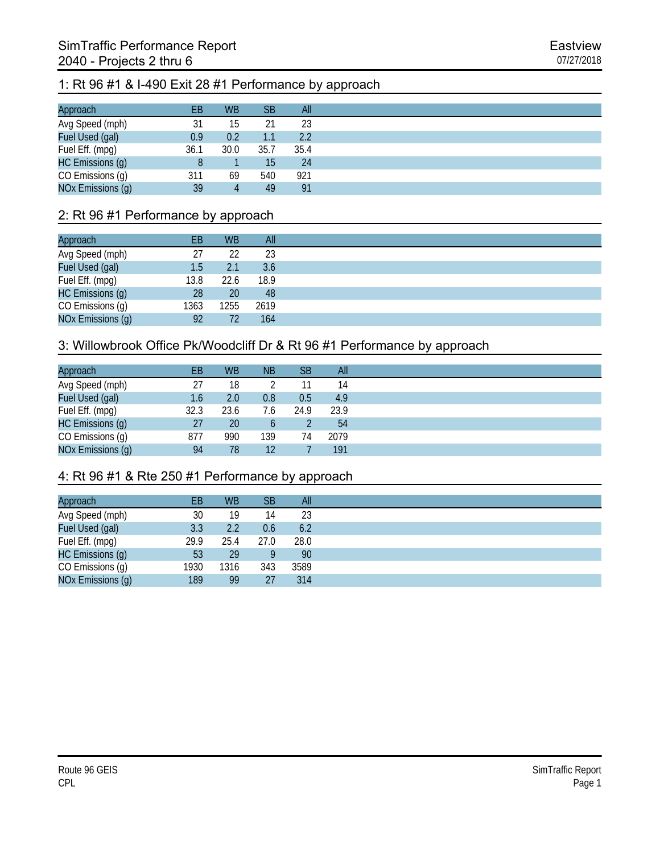#### 1: Rt 96 #1 & I-490 Exit 28 #1 Performance by approach

| Approach          | EВ   | <b>WB</b> | <b>SB</b> | All  |
|-------------------|------|-----------|-----------|------|
| Avg Speed (mph)   | 31   | 15        |           | 23   |
| Fuel Used (gal)   | 0.9  | 0.2       | 1.1       | 2.2  |
| Fuel Eff. (mpg)   | 36.1 | 30.0      | 35.7      | 35.4 |
| HC Emissions (g)  |      |           | 15        | 24   |
| CO Emissions (g)  | 311  | 69        | 540       | 921  |
| NOx Emissions (g) | 39   | 4         | 49        | 91   |

#### 2: Rt 96 #1 Performance by approach

| Approach          | ΕB   | <b>WB</b> | All  |
|-------------------|------|-----------|------|
| Avg Speed (mph)   | 27   | 22        | 23   |
| Fuel Used (gal)   | 1.5  | 2.1       | 3.6  |
| Fuel Eff. (mpg)   | 13.8 | 22.6      | 18.9 |
| HC Emissions (g)  | 28   | <b>20</b> | 48   |
| CO Emissions (g)  | 1363 | 1255      | 2619 |
| NOx Emissions (g) | 92   | 72        | 164  |

#### 3: Willowbrook Office Pk/Woodcliff Dr & Rt 96 #1 Performance by approach

| Approach          | EВ   | <b>WB</b>        | <b>NB</b> | <b>SB</b> | All  |
|-------------------|------|------------------|-----------|-----------|------|
| Avg Speed (mph)   | 27   | 18               |           | 11        | 14   |
| Fuel Used (gal)   | 1.6  | 2.0 <sub>1</sub> | 0.8       | 0.5       | 4.9  |
| Fuel Eff. (mpg)   | 32.3 | 23.6             | 7.6       | 24.9      | 23.9 |
| HC Emissions (g)  | 27   | 20               | b         |           | 54   |
| CO Emissions (g)  | 877  | 990              | 139       | 74        | 2079 |
| NOx Emissions (g) | 94   | 78               | 12        |           | 191  |

## 4: Rt 96 #1 & Rte 250 #1 Performance by approach

| Approach          | EВ   | <b>WB</b> | <b>SB</b> | All  |
|-------------------|------|-----------|-----------|------|
| Avg Speed (mph)   | 30   | 19        | 14        | 23   |
| Fuel Used (gal)   | 3.3  | 2.2       | 0.6       | 6.2  |
| Fuel Eff. (mpg)   | 29.9 | 25.4      | 27.0      | 28.0 |
| HC Emissions (g)  | 53   | 29        |           | 90   |
| CO Emissions (g)  | 1930 | 1316      | 343       | 3589 |
| NOx Emissions (g) | 189  | 99        | 27        | 314  |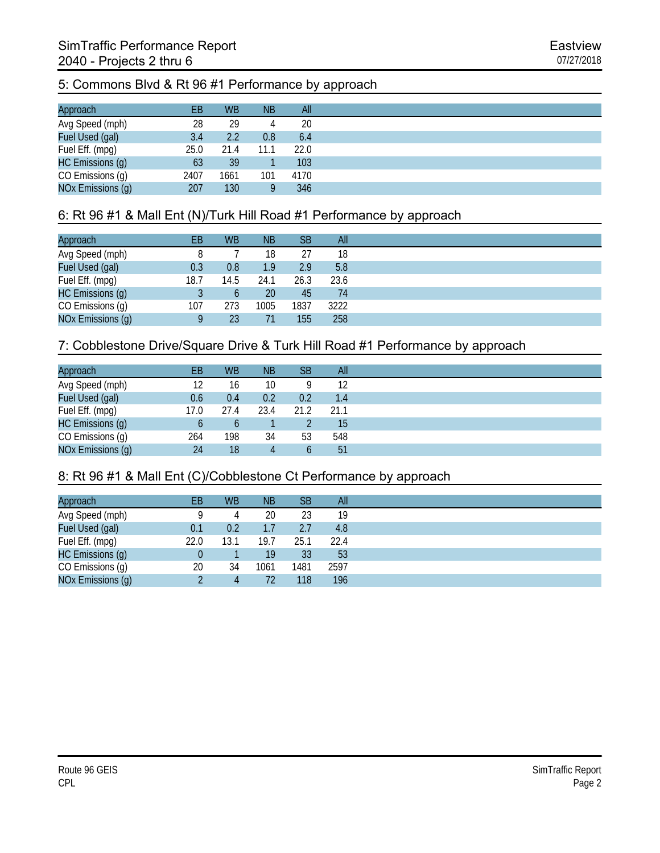#### 5: Commons Blvd & Rt 96 #1 Performance by approach

| Approach          | EВ   | <b>WB</b> | <b>NB</b> | All  |
|-------------------|------|-----------|-----------|------|
| Avg Speed (mph)   | 28   | 29        |           | 20   |
| Fuel Used (gal)   | 3.4  | 2.2       | 0.8       | 6.4  |
| Fuel Eff. (mpg)   | 25.0 | 21.4      | 11.1      | 22.0 |
| HC Emissions (g)  | 63   | 39        |           | 103  |
| CO Emissions (g)  | 2407 | 1661      | 101       | 4170 |
| NOx Emissions (g) | 207  | 130       |           | 346  |

## 6: Rt 96 #1 & Mall Ent (N)/Turk Hill Road #1 Performance by approach

| Approach          | EВ   | <b>WB</b> | <b>NB</b> | SB   | All  |
|-------------------|------|-----------|-----------|------|------|
| Avg Speed (mph)   |      |           | 18        | 27   | 18   |
| Fuel Used (gal)   | 0.3  | 0.8       | 1.9       | 2.9  | 5.8  |
| Fuel Eff. (mpg)   | 18.7 | 14.5      | 24.1      | 26.3 | 23.6 |
| HC Emissions (g)  |      | b         | 20        | 45   | 74   |
| CO Emissions (g)  | 107  | 273       | 1005      | 1837 | 3222 |
| NOx Emissions (g) |      | 23        |           | 155  | 258  |

#### 7: Cobblestone Drive/Square Drive & Turk Hill Road #1 Performance by approach

| Approach          | EB   | <b>WB</b> | <b>NB</b> | SB   | All  |
|-------------------|------|-----------|-----------|------|------|
| Avg Speed (mph)   | 12   | 16        | 10        | Q    | 12   |
| Fuel Used (gal)   | 0.6  | 0.4       | 0.2       | 0.2  | 1.4  |
| Fuel Eff. (mpg)   | 17.0 | 27.4      | 23.4      | 21.2 | 21.1 |
| HC Emissions (g)  | b    |           |           |      | 15   |
| CO Emissions (g)  | 264  | 198       | 34        | 53   | 548  |
| NOx Emissions (g) | 24   | 18        |           | b    | 51   |

#### 8: Rt 96 #1 & Mall Ent (C)/Cobblestone Ct Performance by approach

| Approach          | ЕB   | <b>WB</b> | <b>NB</b> | <b>SB</b> | All  |
|-------------------|------|-----------|-----------|-----------|------|
| Avg Speed (mph)   |      | 4         | 20        | 23        | 19   |
| Fuel Used (gal)   | 0.1  | 0.2       | 1.7       | 2.7       | 4.8  |
| Fuel Eff. (mpg)   | 22.0 | 13.1      | 19.7      | 25.1      | 22.4 |
| HC Emissions (g)  |      |           | 19        | 33        | 53   |
| CO Emissions (g)  | 20   | 34        | 1061      | 1481      | 2597 |
| NOx Emissions (g) |      | 4         | 72        | 118       | 196  |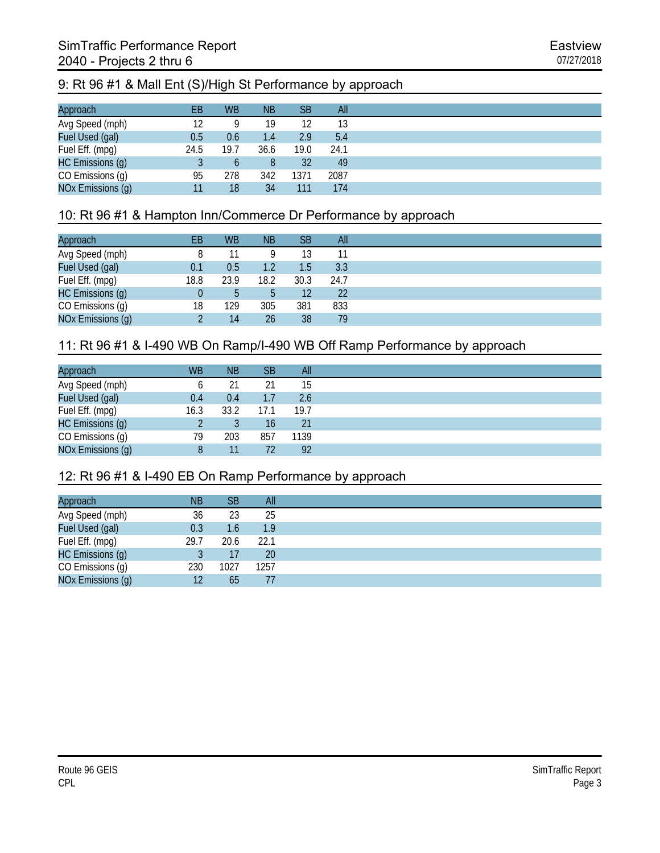## 9: Rt 96 #1 & Mall Ent (S)/High St Performance by approach

| Approach          | EВ   | <b>WB</b> | <b>NB</b> | <b>SB</b> | All  |
|-------------------|------|-----------|-----------|-----------|------|
| Avg Speed (mph)   | 12   |           | 19        |           | 13   |
| Fuel Used (gal)   | 0.5  | 0.6       | 1.4       | 2.9       | 5.4  |
| Fuel Eff. (mpg)   | 24.5 | 19.7      | 36.6      | 19.0      | 24.1 |
| HC Emissions (g)  |      | b         |           | 32        | 49   |
| CO Emissions (g)  | 95   | 278       | 342       | 1371      | 2087 |
| NOx Emissions (g) | 11   | 18        | 34        | 111       | 174  |

### 10: Rt 96 #1 & Hampton Inn/Commerce Dr Performance by approach

| Approach          | EВ   | <b>WB</b> | <b>NB</b> | <b>SB</b>         | All  |
|-------------------|------|-----------|-----------|-------------------|------|
| Avg Speed (mph)   |      |           |           | 13                |      |
| Fuel Used (gal)   | 0.1  | 0.5       |           | 1.5               | 3.3  |
| Fuel Eff. (mpg)   | 18.8 | 23.9      | 18.2      | 30.3              | 24.7 |
| HC Emissions (g)  |      | b         |           | $12 \overline{ }$ | 22   |
| CO Emissions (g)  | 18   | 129       | 305       | 381               | 833  |
| NOx Emissions (g) |      | 14        | 26        | 38                | 79   |

## 11: Rt 96 #1 & I-490 WB On Ramp/I-490 WB Off Ramp Performance by approach

| Approach          | <b>WB</b> | <b>NB</b> | <b>SB</b> | All  |
|-------------------|-----------|-----------|-----------|------|
| Avg Speed (mph)   |           | 21        | 21        | 15   |
| Fuel Used (gal)   | 0.4       | 0.4       | 1.7       | 2.6  |
| Fuel Eff. (mpg)   | 16.3      | 33.2      | 17.1      | 19.7 |
| HC Emissions (g)  |           |           | 16        | 21   |
| CO Emissions (g)  | 79        | 203       | 857       | 1139 |
| NOx Emissions (g) |           | 11        | 72        | 92   |

#### 12: Rt 96 #1 & I-490 EB On Ramp Performance by approach

|      | <b>SB</b> | All  |
|------|-----------|------|
| 36   | 23        | 25   |
| 0.3  | 1.6       | 1.9  |
| 29.7 | 20.6      | 22.1 |
|      | 17        | 20   |
| 230  | 1027      | 1257 |
| 12   | 65        |      |
|      | <b>NB</b> |      |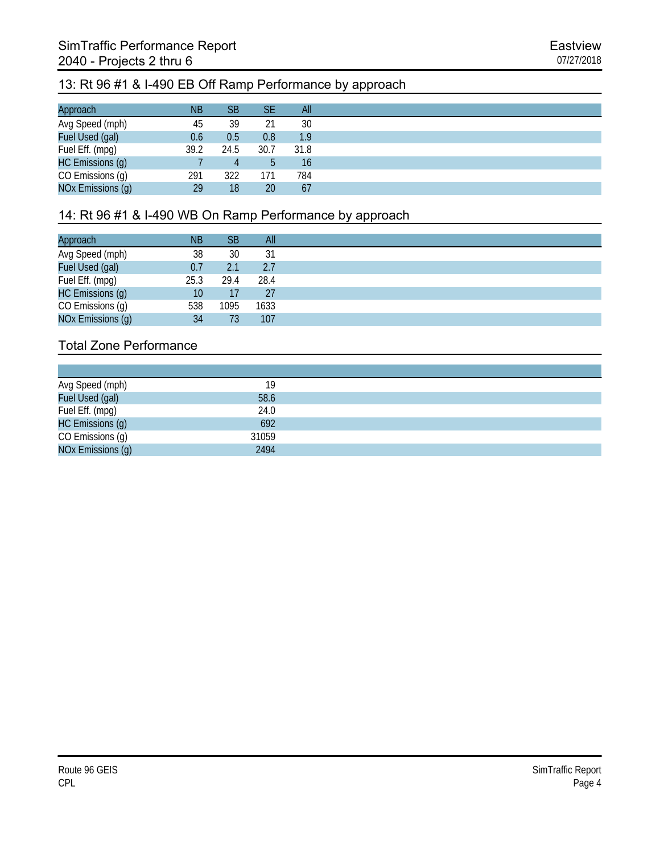## 13: Rt 96 #1 & I-490 EB Off Ramp Performance by approach

| Approach          | <b>NB</b> | SB   | SE   | All  |
|-------------------|-----------|------|------|------|
| Avg Speed (mph)   | 45        | 39   | 21   | 30   |
| Fuel Used (gal)   | 0.6       | 0.5  | 0.8  | 1.9  |
| Fuel Eff. (mpg)   | 39.2      | 24.5 | 30.7 | 31.8 |
| HC Emissions (g)  |           | 4    |      | 16   |
| CO Emissions (g)  | 291       | 322  | 171  | 784  |
| NOx Emissions (g) | 29        | 18   | 20   | 67   |

# 14: Rt 96 #1 & I-490 WB On Ramp Performance by approach

| Approach          | <b>NB</b> | <b>SB</b> | All  |
|-------------------|-----------|-----------|------|
| Avg Speed (mph)   | 38        | 30        | 31   |
| Fuel Used (gal)   | 0.7       | 2.1       | 2.7  |
| Fuel Eff. (mpg)   | 25.3      | 29.4      | 28.4 |
| HC Emissions (g)  | 10        | 17        | 27   |
| CO Emissions (g)  | 538       | 1095      | 1633 |
| NOx Emissions (g) | 34        | 73        | 107  |

| Avg Speed (mph)   | 19    |
|-------------------|-------|
| Fuel Used (gal)   | 58.6  |
| Fuel Eff. (mpg)   | 24.0  |
| HC Emissions (g)  | 692   |
| CO Emissions (g)  | 31059 |
| NOx Emissions (g) | 2494  |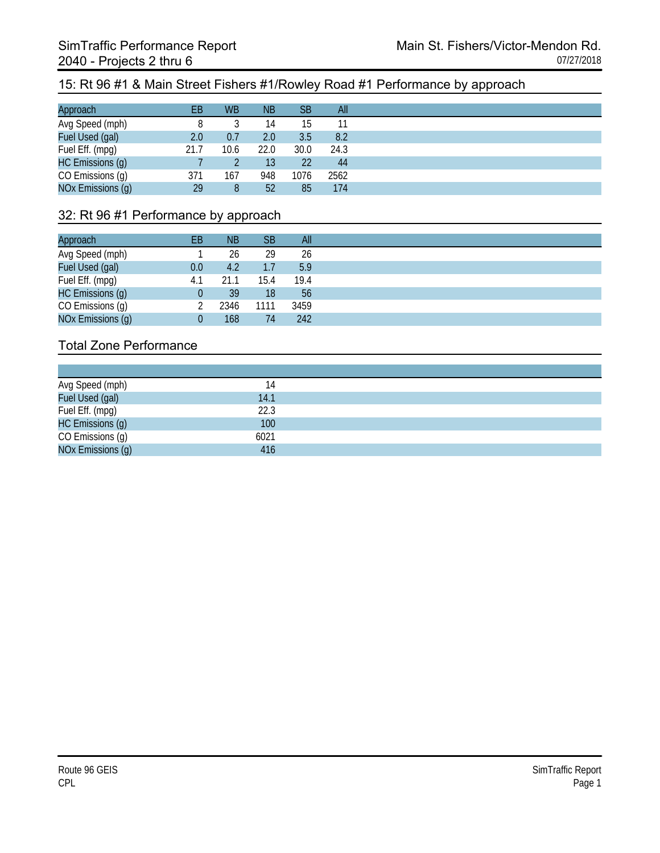#### 15: Rt 96 #1 & Main Street Fishers #1/Rowley Road #1 Performance by approach

| Approach          | EВ   | <b>WB</b> | <b>NB</b> | <b>SB</b> | All  |
|-------------------|------|-----------|-----------|-----------|------|
| Avg Speed (mph)   |      |           | 14        | 15        |      |
| Fuel Used (gal)   | 2.0  | 0.7       | 2.0       | 3.5       | 8.2  |
| Fuel Eff. (mpg)   | 21.7 | 10.6      | 22.0      | 30.0      | 24.3 |
| HC Emissions (g)  |      |           | 13        | 22        | 44   |
| CO Emissions (g)  | 371  | 167       | 948       | 1076      | 2562 |
| NOx Emissions (g) | 29   | 8         | 52        | 85        | 174  |

#### 32: Rt 96 #1 Performance by approach

| Approach          | EВ  | ΝB   | <b>SB</b> | All  |
|-------------------|-----|------|-----------|------|
| Avg Speed (mph)   |     | 26   | 29        | 26   |
| Fuel Used (gal)   | 0.0 | 4.2  | 1.7       | 5.9  |
| Fuel Eff. (mpg)   | 4.1 | 21.1 | 15.4      | 19.4 |
| HC Emissions (g)  |     | 39   | 18        | 56   |
| CO Emissions (g)  |     | 2346 | 1111      | 3459 |
| NOx Emissions (g) |     | 168  | 74        | 242  |

| Avg Speed (mph)<br>Fuel Used (gal) | 14   |
|------------------------------------|------|
|                                    | 14.1 |
| Fuel Eff. (mpg)                    | 22.3 |
| HC Emissions (g)                   | 100  |
| CO Emissions (g)                   | 6021 |
| NOx Emissions (q)                  | 416  |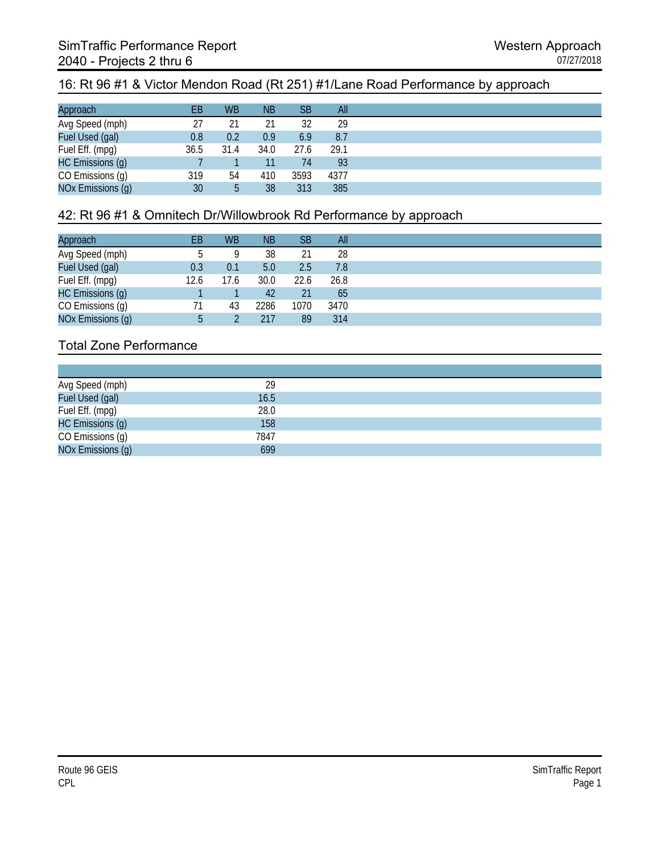### 16: Rt 96 #1 & Victor Mendon Road (Rt 251) #1/Lane Road Performance by approach

| Approach          | EB   | <b>WB</b> | <b>NB</b> | <b>SB</b> | All  |
|-------------------|------|-----------|-----------|-----------|------|
| Avg Speed (mph)   | 27   | 21        | 21        | 32        | 29   |
| Fuel Used (gal)   | 0.8  | 0.2       | 0.9       | 6.9       | 8.7  |
| Fuel Eff. (mpg)   | 36.5 | 31.4      | 34.0      | 27.6      | 29.1 |
| HC Emissions (g)  |      |           |           | 74        | 93   |
| CO Emissions (g)  | 319  | 54        | 410       | 3593      | 4377 |
| NOx Emissions (g) | 30   | 5         | 38        | 313       | 385  |

### 42: Rt 96 #1 & Omnitech Dr/Willowbrook Rd Performance by approach

| Approach          | ΕB   | <b>WB</b> | <b>NB</b> | SB   | All  |
|-------------------|------|-----------|-----------|------|------|
| Avg Speed (mph)   |      | Q         | 38        | 21   | 28   |
| Fuel Used (gal)   | 0.3  | 0.1       | 5.0       | 2.5  | 7.8  |
| Fuel Eff. (mpg)   | 12.6 | 17.6      | 30.0      | 22.6 | 26.8 |
| HC Emissions (g)  |      |           | 42        | 21   | 65   |
| CO Emissions (g)  | 71   | 43        | 2286      | 1070 | 3470 |
| NOx Emissions (g) | 5    |           | 217       | 89   | 314  |

| Avg Speed (mph)   | 29   |
|-------------------|------|
| Fuel Used (gal)   | 16.5 |
| Fuel Eff. (mpg)   | 28.0 |
| HC Emissions (g)  | 158  |
| CO Emissions (g)  | 7847 |
| NOx Emissions (q) | 699  |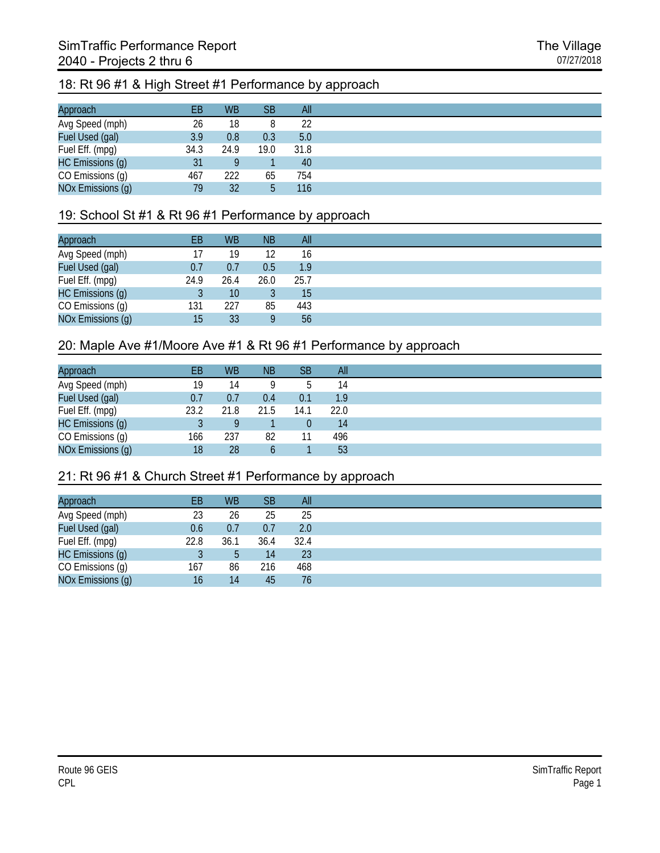#### 18: Rt 96 #1 & High Street #1 Performance by approach

| Approach          | EВ   | <b>WB</b> | SB   | All  |
|-------------------|------|-----------|------|------|
| Avg Speed (mph)   | 26   | 18        |      | 22   |
| Fuel Used (gal)   | 3.9  | 0.8       | 0.3  | 5.0  |
| Fuel Eff. (mpg)   | 34.3 | 24.9      | 19.0 | 31.8 |
| HC Emissions (g)  | 31   |           |      | 40   |
| CO Emissions (g)  | 467  | 222       | 65   | 754  |
| NOx Emissions (g) | 79   | 32        | 5    | 116  |

#### 19: School St #1 & Rt 96 #1 Performance by approach

| Approach          | ΕB   | <b>WB</b> | <b>NB</b> | All              |
|-------------------|------|-----------|-----------|------------------|
| Avg Speed (mph)   |      | 19        | 12        | 16               |
| Fuel Used (gal)   | 0.7  | 0.7       | 0.5       | 1.9 <sub>l</sub> |
| Fuel Eff. (mpg)   | 24.9 | 26.4      | 26.0      | 25.7             |
| HC Emissions (g)  |      | 10        |           | 15               |
| CO Emissions (g)  | 131  | 227       | 85        | 443              |
| NOx Emissions (g) | 15   | 33        |           | 56               |

#### 20: Maple Ave #1/Moore Ave #1 & Rt 96 #1 Performance by approach

| Approach          | ΕB   | <b>WB</b> | <b>NB</b> | <b>SB</b> | All  |
|-------------------|------|-----------|-----------|-----------|------|
| Avg Speed (mph)   | 19   | 14        |           | b         | 14   |
| Fuel Used (gal)   | 0.7  | 0.7       | 0.4       | 0.1       | 1.9  |
| Fuel Eff. (mpg)   | 23.2 | 21.8      | 21.5      | 14.1      | 22.0 |
| HC Emissions (g)  |      |           |           | 0         | 14   |
| CO Emissions (g)  | 166  | 237       | 82        | 11        | 496  |
| NOx Emissions (g) | 18   | 28        |           |           | 53   |

#### 21: Rt 96 #1 & Church Street #1 Performance by approach

| EB   | <b>WB</b> | <b>SB</b> | All  |
|------|-----------|-----------|------|
| 23   | 26        | 25        | 25   |
| 0.6  | 0.7       | 0.7       | 2.0  |
| 22.8 | 36.1      | 36.4      | 32.4 |
|      | 5         | 14        | 23   |
| 167  | 86        | 216       | 468  |
| 16   | 14        | 45        | 76   |
|      |           |           |      |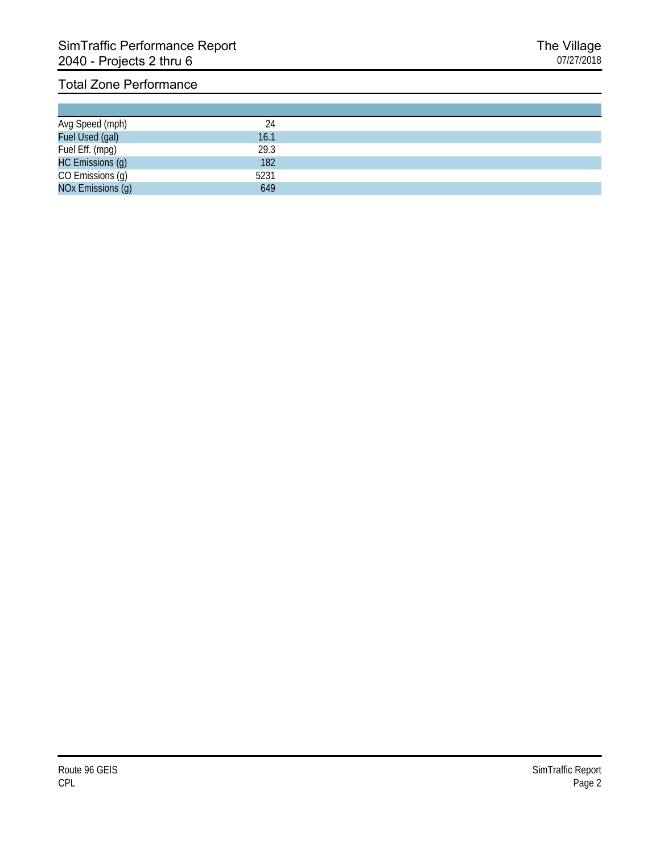|                                    | 24   |  |
|------------------------------------|------|--|
| Avg Speed (mph)<br>Fuel Used (gal) | 16.1 |  |
| Fuel Eff. (mpg)                    | 29.3 |  |
| HC Emissions (g)                   | 182  |  |
| CO Emissions (g)                   | 5231 |  |
| NOx Emissions (g)                  | 649  |  |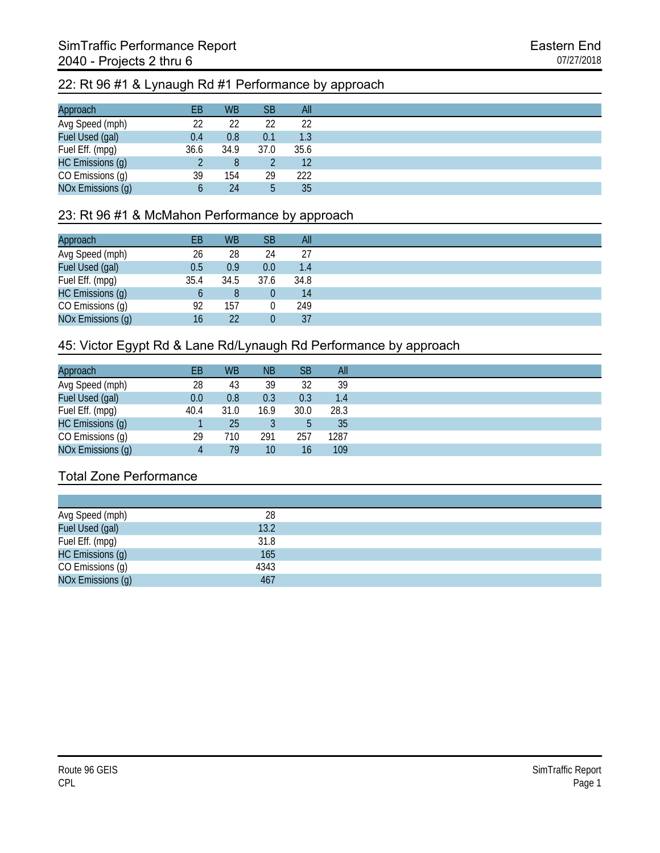#### 22: Rt 96 #1 & Lynaugh Rd #1 Performance by approach

| Approach          | EВ   | <b>WB</b> | <b>SB</b> | All  |
|-------------------|------|-----------|-----------|------|
| Avg Speed (mph)   | 22   | 22        | 22        | 22   |
| Fuel Used (gal)   | 0.4  | 0.8       | 0.1       | 1.3  |
| Fuel Eff. (mpg)   | 36.6 | 34.9      | 37.0      | 35.6 |
| HC Emissions (g)  |      | 8         |           | 12   |
| CO Emissions (g)  | 39   | 154       | 29        | 222  |
| NOx Emissions (g) | b    | 24        | ხ         | 35   |

#### 23: Rt 96 #1 & McMahon Performance by approach

| Approach          | EB   | <b>WB</b> | <b>SB</b> | All  |
|-------------------|------|-----------|-----------|------|
| Avg Speed (mph)   | 26   | 28        | 24        | 27   |
| Fuel Used (gal)   | 0.5  | 0.9       | 0.0       | 1.4  |
| Fuel Eff. (mpg)   | 35.4 | 34.5      | 37.6      | 34.8 |
| HC Emissions (g)  |      | 8         |           | 14   |
| CO Emissions (g)  | 92   | 157       |           | 249  |
| NOx Emissions (g) | 16   | 22        |           | 37   |

#### 45: Victor Egypt Rd & Lane Rd/Lynaugh Rd Performance by approach

| Approach          | EВ   | <b>WB</b> | <b>NB</b>       | <b>SB</b> | All  |
|-------------------|------|-----------|-----------------|-----------|------|
| Avg Speed (mph)   | 28   | 43        | 39              | 32        | 39   |
| Fuel Used (gal)   | 0.0  | 0.8       | 0.3             | 0.3       | 1.4  |
| Fuel Eff. (mpg)   | 40.4 | 31.0      | 16.9            | 30.0      | 28.3 |
| HC Emissions (g)  |      | 25        |                 | 5         | 35   |
| CO Emissions (g)  | 29   | 710       | 291             | 257       | 1287 |
| NOx Emissions (g) | 4    | 79        | 10 <sup>°</sup> | 16        | 109  |

| Avg Speed (mph)   | 28   |  |
|-------------------|------|--|
| Fuel Used (gal)   | 13.2 |  |
| Fuel Eff. (mpg)   | 31.8 |  |
| HC Emissions (g)  | 165  |  |
| CO Emissions (g)  | 4343 |  |
| NOx Emissions (g) | 467  |  |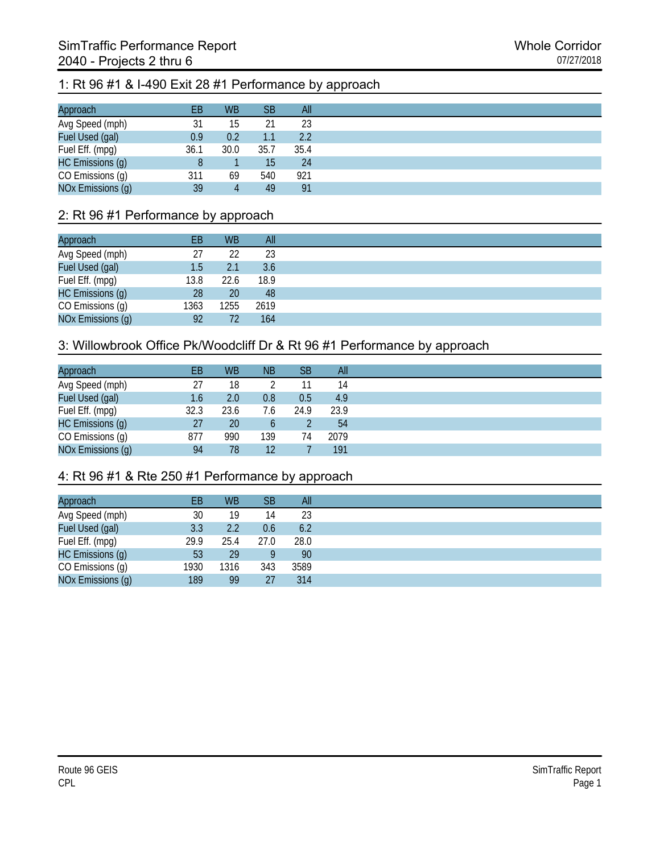# 1: Rt 96 #1 & I-490 Exit 28 #1 Performance by approach

| Approach          | EВ   | <b>WB</b> | <b>SB</b> | All  |
|-------------------|------|-----------|-----------|------|
| Avg Speed (mph)   | 31   | 15        |           | 23   |
| Fuel Used (gal)   | 0.9  | 0.2       |           | 2.2  |
| Fuel Eff. (mpg)   | 36.1 | 30.0      | 35.7      | 35.4 |
| HC Emissions (g)  |      |           | 15        | 24   |
| CO Emissions (g)  | 311  | 69        | 540       | 921  |
| NOx Emissions (g) | 39   | 4         | 49        | 91   |

### 2: Rt 96 #1 Performance by approach

| Approach          | EB   | <b>WB</b> | All  |
|-------------------|------|-----------|------|
| Avg Speed (mph)   | 27   | 22        | 23   |
| Fuel Used (gal)   | 1.5  | 2.1       | 3.6  |
| Fuel Eff. (mpg)   | 13.8 | 22.6      | 18.9 |
| HC Emissions (g)  | 28   | 20        | 48   |
| CO Emissions (g)  | 1363 | 1255      | 2619 |
| NOx Emissions (g) | 92   | 72        | 164  |

#### 3: Willowbrook Office Pk/Woodcliff Dr & Rt 96 #1 Performance by approach

| Approach          | EВ   | <b>WB</b>        | <b>NB</b> | <b>SB</b> | All  |
|-------------------|------|------------------|-----------|-----------|------|
| Avg Speed (mph)   | 27   | 18               |           | 11        | 14   |
| Fuel Used (gal)   | 1.6  | 2.0 <sub>1</sub> | 0.8       | 0.5       | 4.9  |
| Fuel Eff. (mpg)   | 32.3 | 23.6             | 7.6       | 24.9      | 23.9 |
| HC Emissions (g)  | 27   | 20               | b         |           | 54   |
| CO Emissions (g)  | 877  | 990              | 139       | 74        | 2079 |
| NOx Emissions (g) | 94   | 78               | 12        |           | 191  |

## 4: Rt 96 #1 & Rte 250 #1 Performance by approach

| Approach          | EВ   | <b>WB</b> | <b>SB</b> | All  |
|-------------------|------|-----------|-----------|------|
| Avg Speed (mph)   | 30   | 19        | 14        | 23   |
| Fuel Used (gal)   | 3.3  | 2.2       | 0.6       | 6.2  |
| Fuel Eff. (mpg)   | 29.9 | 25.4      | 27.0      | 28.0 |
| HC Emissions (g)  | 53   | 29        |           | 90   |
| CO Emissions (g)  | 1930 | 1316      | 343       | 3589 |
| NOx Emissions (g) | 189  | 99        | 27        | 314  |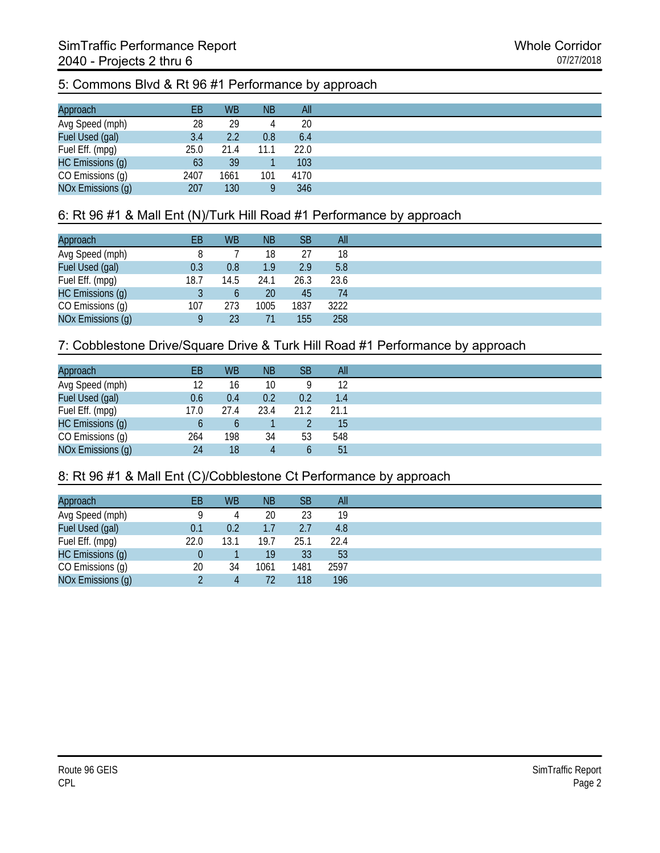# 5: Commons Blvd & Rt 96 #1 Performance by approach

| Approach          | EВ   | <b>WB</b> | <b>NB</b> | All  |
|-------------------|------|-----------|-----------|------|
| Avg Speed (mph)   | 28   | 29        | 4         | 20   |
| Fuel Used (gal)   | 3.4  | 2.2       | 0.8       | 6.4  |
| Fuel Eff. (mpg)   | 25.0 | 21.4      | 11.1      | 22.0 |
| HC Emissions (g)  | 63   | 39        |           | 103  |
| CO Emissions (g)  | 2407 | 1661      | 101       | 4170 |
| NOx Emissions (g) | 207  | 130       |           | 346  |

## 6: Rt 96 #1 & Mall Ent (N)/Turk Hill Road #1 Performance by approach

| Approach          | EВ   | <b>WB</b> | <b>NB</b> | <b>SB</b> | All  |
|-------------------|------|-----------|-----------|-----------|------|
| Avg Speed (mph)   |      |           | 18        | 27        | 18   |
| Fuel Used (gal)   | 0.3  | 0.8       | 1.9       | 2.9       | 5.8  |
| Fuel Eff. (mpg)   | 18.7 | 14.5      | 24.1      | 26.3      | 23.6 |
| HC Emissions (g)  |      | b         | 20        | 45        | 74   |
| CO Emissions (g)  | 107  | 273       | 1005      | 1837      | 3222 |
| NOx Emissions (g) |      | 23        |           | 155       | 258  |

## 7: Cobblestone Drive/Square Drive & Turk Hill Road #1 Performance by approach

| Approach          | EB   | <b>WB</b> | <b>NB</b> | SB   | All  |
|-------------------|------|-----------|-----------|------|------|
| Avg Speed (mph)   | 12   | 16        | 10        | Q    | 12   |
| Fuel Used (gal)   | 0.6  | 0.4       | 0.2       | 0.2  | 1.4  |
| Fuel Eff. (mpg)   | 17.0 | 27.4      | 23.4      | 21.2 | 21.1 |
| HC Emissions (g)  | b    |           |           |      | 15   |
| CO Emissions (g)  | 264  | 198       | 34        | 53   | 548  |
| NOx Emissions (g) | 24   | 18        |           | b    | 51   |

#### 8: Rt 96 #1 & Mall Ent (C)/Cobblestone Ct Performance by approach

| Approach          | ЕB   | <b>WB</b> | <b>NB</b> | <b>SB</b> | All  |
|-------------------|------|-----------|-----------|-----------|------|
| Avg Speed (mph)   |      | 4         | 20        | 23        | 19   |
| Fuel Used (gal)   | 0.1  | 0.2       | 1.7       | 2.7       | 4.8  |
| Fuel Eff. (mpg)   | 22.0 | 13.1      | 19.7      | 25.1      | 22.4 |
| HC Emissions (g)  |      |           | 19        | 33        | 53   |
| CO Emissions (g)  | 20   | 34        | 1061      | 1481      | 2597 |
| NOx Emissions (g) |      | 4         | 72        | 118       | 196  |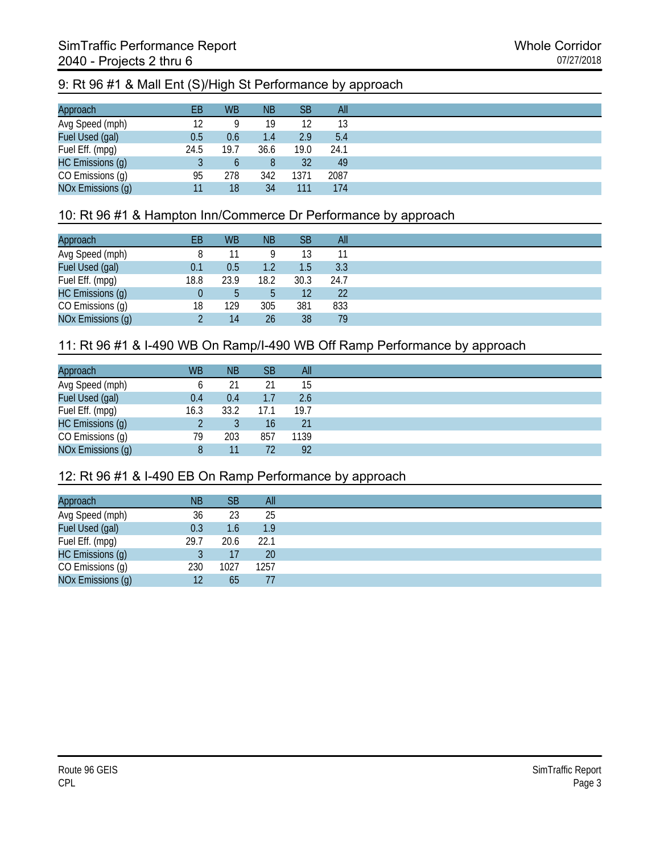## 9: Rt 96 #1 & Mall Ent (S)/High St Performance by approach

| Approach          | EВ   | <b>WB</b> | <b>NB</b> | <b>SB</b> | All  |
|-------------------|------|-----------|-----------|-----------|------|
| Avg Speed (mph)   | 12   | Q         | 19        | 12        | 13   |
| Fuel Used (gal)   | 0.5  | 0.6       | 1.4       | 2.9       | 5.4  |
| Fuel Eff. (mpg)   | 24.5 | 19.7      | 36.6      | 19.0      | 24.1 |
| HC Emissions (g)  |      | b         |           | 32        | 49   |
| CO Emissions (g)  | 95   | 278       | 342       | 1371      | 2087 |
| NOx Emissions (g) | 11   | 18        | 34        | 111       | 174  |

## 10: Rt 96 #1 & Hampton Inn/Commerce Dr Performance by approach

| Approach          | EВ   | <b>WB</b> | <b>NB</b> | <b>SB</b>         | All  |
|-------------------|------|-----------|-----------|-------------------|------|
| Avg Speed (mph)   |      |           |           | 13                |      |
| Fuel Used (gal)   | 0.1  | 0.5       | 1.2       | 1.5               | 3.3  |
| Fuel Eff. (mpg)   | 18.8 | 23.9      | 18.2      | 30.3              | 24.7 |
| HC Emissions (g)  |      | ხ         |           | $12 \overline{ }$ | 22   |
| CO Emissions (g)  | 18   | 129       | 305       | 381               | 833  |
| NOx Emissions (g) |      | 14        | 26        | 38                | 79   |

## 11: Rt 96 #1 & I-490 WB On Ramp/I-490 WB Off Ramp Performance by approach

| Approach          | <b>WB</b> | <b>NB</b> | <b>SB</b> | All  |
|-------------------|-----------|-----------|-----------|------|
| Avg Speed (mph)   |           | 21        |           | 15   |
| Fuel Used (gal)   | 0.4       | 0.4       | 1.7       | 2.6  |
| Fuel Eff. (mpg)   | 16.3      | 33.2      | 17.1      | 19.7 |
| HC Emissions (g)  |           |           | 16        | 21   |
| CO Emissions (g)  | 79        | 203       | 857       | 1139 |
| NOx Emissions (g) |           | 11        | 72        | 92   |

#### 12: Rt 96 #1 & I-490 EB On Ramp Performance by approach

| Approach          | <b>NB</b> | SB            | All       |
|-------------------|-----------|---------------|-----------|
| Avg Speed (mph)   | 36        | 23            | 25        |
| Fuel Used (gal)   | 0.3       | $1.6^{\circ}$ | 1.9       |
| Fuel Eff. (mpg)   | 29.7      | 20.6          | 22.1      |
| HC Emissions (g)  |           | 17            | <b>20</b> |
| CO Emissions (g)  | 230       | 1027          | 1257      |
| NOx Emissions (g) | 12        | 65            |           |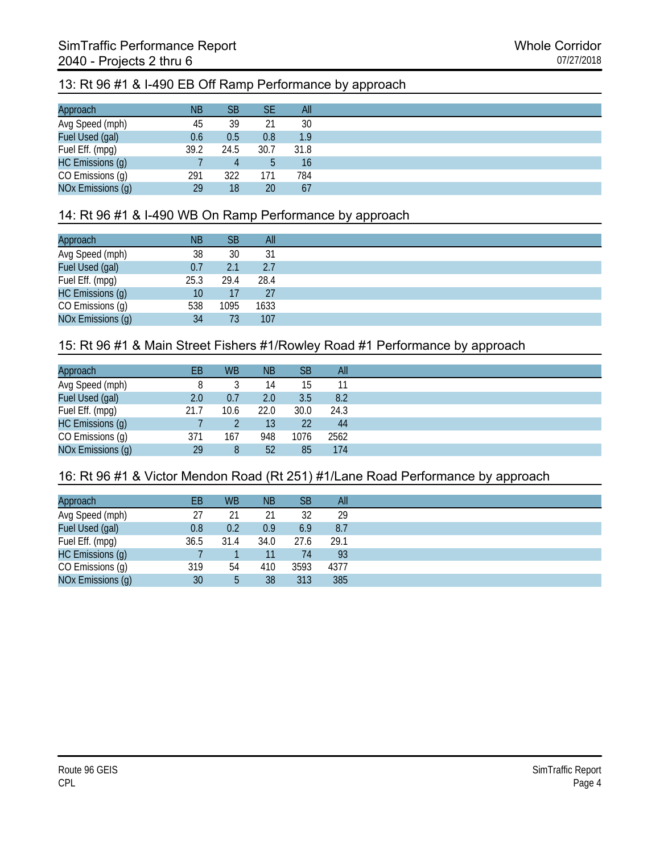#### 13: Rt 96 #1 & I-490 EB Off Ramp Performance by approach

| Approach          | <b>NB</b> | SB   | SE   | All  |
|-------------------|-----------|------|------|------|
| Avg Speed (mph)   | 45        | 39   | 21   | 30   |
| Fuel Used (gal)   | 0.6       | 0.5  | 0.8  | 1.9  |
| Fuel Eff. (mpg)   | 39.2      | 24.5 | 30.7 | 31.8 |
| HC Emissions (g)  |           | 4    |      | 16   |
| CO Emissions (g)  | 291       | 322  | 171  | 784  |
| NOx Emissions (g) | 29        | 18   | 20   | 67   |

#### 14: Rt 96 #1 & I-490 WB On Ramp Performance by approach

| Approach          | <b>NB</b> | <b>SB</b> | All  |
|-------------------|-----------|-----------|------|
| Avg Speed (mph)   | 38        | 30        | 31   |
| Fuel Used (gal)   | 0.7       | 2.1       | 2.7  |
| Fuel Eff. (mpg)   | 25.3      | 29.4      | 28.4 |
| HC Emissions (g)  | 10        | 17        | 27   |
| CO Emissions (g)  | 538       | 1095      | 1633 |
| NOx Emissions (g) | 34        | 73        | 107  |

#### 15: Rt 96 #1 & Main Street Fishers #1/Rowley Road #1 Performance by approach

| Approach          | EB   | <b>WB</b> | <b>NB</b> | <b>SB</b> | All  |
|-------------------|------|-----------|-----------|-----------|------|
| Avg Speed (mph)   |      |           | 14        | 15        |      |
| Fuel Used (gal)   | 2.0  | 0.7       | 2.0       | 3.5       | 8.2  |
| Fuel Eff. (mpg)   | 21.7 | 10.6      | 22.0      | 30.0      | 24.3 |
| HC Emissions (g)  |      |           | 13        | 22        | -44  |
| CO Emissions (g)  | 371  | 167       | 948       | 1076      | 2562 |
| NOx Emissions (g) | 29   | 8         | 52        | 85        | 174  |

#### 16: Rt 96 #1 & Victor Mendon Road (Rt 251) #1/Lane Road Performance by approach

| Approach          | ΕB   | <b>WB</b> | ΝB   | <b>SB</b> | All  |
|-------------------|------|-----------|------|-----------|------|
| Avg Speed (mph)   | 27   | 21        | 21   | 32        | 29   |
| Fuel Used (gal)   | 0.8  | 0.2       | 0.9  | 6.9       | 8.7  |
| Fuel Eff. (mpg)   | 36.5 | 31.4      | 34.0 | 27.6      | 29.1 |
| HC Emissions (g)  |      |           |      | 74        | 93   |
| CO Emissions (g)  | 319  | 54        | 410  | 3593      | 4377 |
| NOx Emissions (g) | 30   | 5         | 38   | 313       | 385  |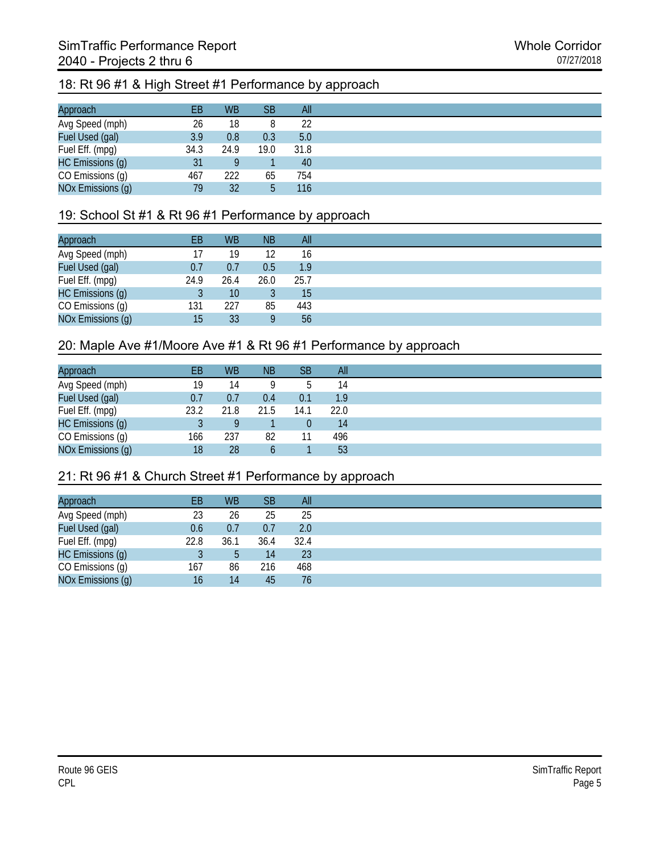# 18: Rt 96 #1 & High Street #1 Performance by approach

| Approach          | EВ   | <b>WB</b> | <b>SB</b> | All  |
|-------------------|------|-----------|-----------|------|
| Avg Speed (mph)   | 26   | 18        |           | 22   |
| Fuel Used (gal)   | 3.9  | 0.8       | 0.3       | 5.0  |
| Fuel Eff. (mpg)   | 34.3 | 24.9      | 19.0      | 31.8 |
| HC Emissions (g)  | 31   |           |           | 40   |
| CO Emissions (g)  | 467  | 222       | 65        | 754  |
| NOx Emissions (g) | 79   | 32        | ь         | 116  |

#### 19: School St #1 & Rt 96 #1 Performance by approach

| Approach          | EВ   | <b>WB</b> | <b>NB</b> | All              |
|-------------------|------|-----------|-----------|------------------|
| Avg Speed (mph)   |      | 19        | 12        | 16               |
| Fuel Used (gal)   | 0.7  | 0.7       | 0.5       | 1.9 <sup>°</sup> |
| Fuel Eff. (mpg)   | 24.9 | 26.4      | 26.0      | 25.7             |
| HC Emissions (g)  |      | 10        |           | 15               |
| CO Emissions (g)  | 131  | 227       | 85        | 443              |
| NOx Emissions (g) | 15   | 33        |           | 56               |

#### 20: Maple Ave #1/Moore Ave #1 & Rt 96 #1 Performance by approach

| Approach          | EB   | <b>WB</b> | <b>NB</b> | SВ       | <b>All</b> |
|-------------------|------|-----------|-----------|----------|------------|
| Avg Speed (mph)   | 19   | 14        |           | b        | 14         |
| Fuel Used (gal)   | 0.7  | 0.7       | 0.4       | 0.1      | 1.9        |
| Fuel Eff. (mpg)   | 23.2 | 21.8      | 21.5      | 14.1     | 22.0       |
| HC Emissions (g)  |      |           |           | $\theta$ | 14         |
| CO Emissions (g)  | 166  | 237       | 82        | 11       | 496        |
| NOx Emissions (g) | 18   | 28        |           |          | 53         |

#### 21: Rt 96 #1 & Church Street #1 Performance by approach

| EB   | <b>WB</b> | <b>SB</b> | All  |
|------|-----------|-----------|------|
| 23   | 26        | 25        | 25   |
| 0.6  | 0.7       | 0.7       | 2.0  |
| 22.8 | 36.1      | 36.4      | 32.4 |
|      | 5         | 14        | 23   |
| 167  | 86        | 216       | 468  |
| 16   | 14        | 45        | 76   |
|      |           |           |      |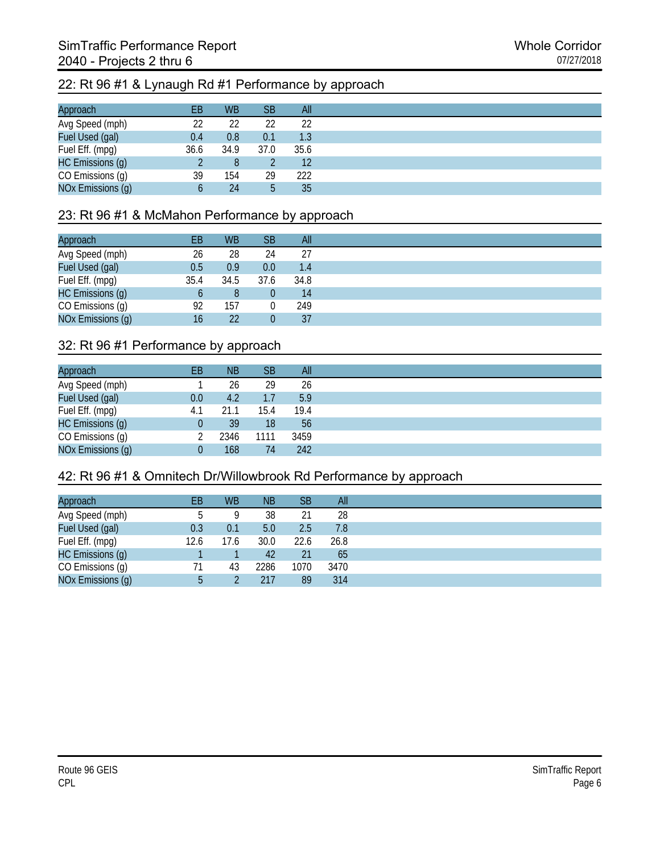# 22: Rt 96 #1 & Lynaugh Rd #1 Performance by approach

| Approach          | EВ   | <b>WB</b> | <b>SB</b> | All  |
|-------------------|------|-----------|-----------|------|
| Avg Speed (mph)   | 22   | 22        | 22        | 22   |
| Fuel Used (gal)   | 0.4  | 0.8       | 0.1       | 1.3  |
| Fuel Eff. (mpg)   | 36.6 | 34.9      | 37.0      | 35.6 |
| HC Emissions (g)  |      |           |           | 12   |
| CO Emissions (g)  | 39   | 154       | 29        | 222  |
| NOx Emissions (g) |      | 24        | 5         | 35   |

## 23: Rt 96 #1 & McMahon Performance by approach

| Approach          | EВ   | <b>WB</b> | <b>SB</b> | All  |
|-------------------|------|-----------|-----------|------|
| Avg Speed (mph)   | 26   | 28        | 24        | 27   |
| Fuel Used (gal)   | 0.5  | 0.9       | 0.0       | 1.4  |
| Fuel Eff. (mpg)   | 35.4 | 34.5      | 37.6      | 34.8 |
| HC Emissions (g)  |      | 8         |           | 14   |
| CO Emissions (g)  | 92   | 157       |           | 249  |
| NOx Emissions (g) | 16   | 22        |           | 37   |

#### 32: Rt 96 #1 Performance by approach

| Approach          | EВ  | <b>NB</b> | <b>SB</b> | All  |
|-------------------|-----|-----------|-----------|------|
| Avg Speed (mph)   |     | 26        | 29        | 26   |
| Fuel Used (gal)   | 0.0 | 4.2       | 1.7       | 5.9  |
| Fuel Eff. (mpg)   | 4.1 | 21.1      | 15.4      | 19.4 |
| HC Emissions (g)  |     | 39        | 18        | 56   |
| CO Emissions (g)  |     | 2346      | 1111      | 3459 |
| NOx Emissions (g) |     | 168       | 74        | 242  |

#### 42: Rt 96 #1 & Omnitech Dr/Willowbrook Rd Performance by approach

| Approach          | ЕB   | <b>WB</b> | <b>NB</b> | <b>SB</b> | All  |
|-------------------|------|-----------|-----------|-----------|------|
| Avg Speed (mph)   | b    | Q         | 38        | 21        | 28   |
| Fuel Used (gal)   | 0.3  | 0.1       | 5.0       | 2.5       | 7.8  |
| Fuel Eff. (mpg)   | 12.6 | 17.6      | 30.0      | 22.6      | 26.8 |
| HC Emissions (g)  |      |           | 42        | 21        | 65   |
| CO Emissions (g)  | 71   | 43        | 2286      | 1070      | 3470 |
| NOx Emissions (g) | b    |           | 217       | 89        | 314  |